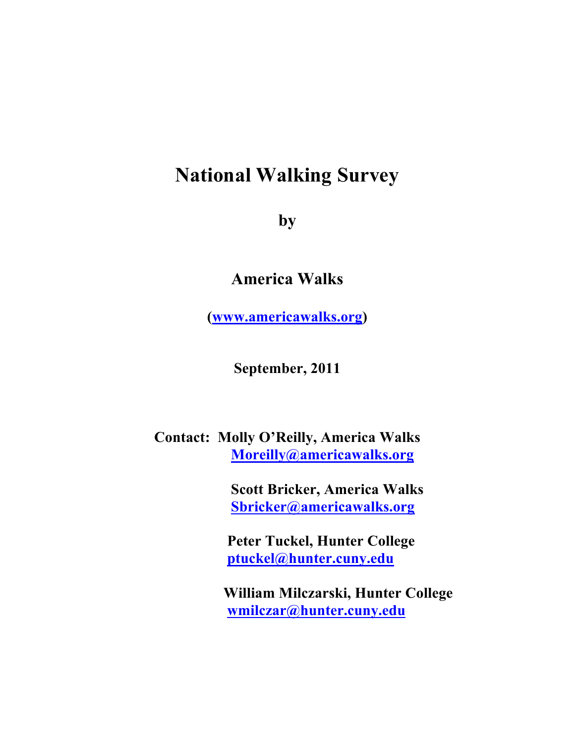# **National Walking Survey**

**by**

# **America Walks**

**(www.americawalks.org)**

**September, 2011**

## **Contact: Molly O'Reilly, America Walks Moreilly@americawalks.org**

 **Scott Bricker, America Walks Sbricker@americawalks.org**

 **Peter Tuckel, Hunter College ptuckel@hunter.cuny.edu**

 **William Milczarski, Hunter College wmilczar@hunter.cuny.edu**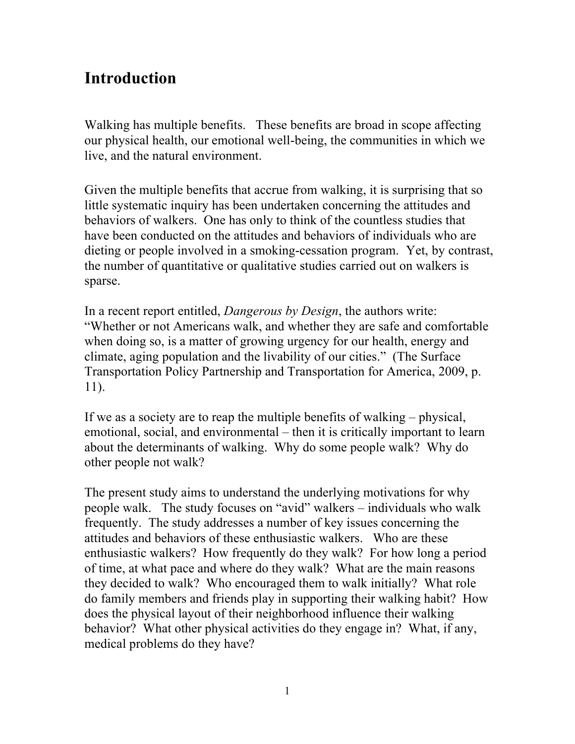# **Introduction**

Walking has multiple benefits. These benefits are broad in scope affecting our physical health, our emotional well-being, the communities in which we live, and the natural environment.

Given the multiple benefits that accrue from walking, it is surprising that so little systematic inquiry has been undertaken concerning the attitudes and behaviors of walkers. One has only to think of the countless studies that have been conducted on the attitudes and behaviors of individuals who are dieting or people involved in a smoking-cessation program. Yet, by contrast, the number of quantitative or qualitative studies carried out on walkers is sparse.

In a recent report entitled, *Dangerous by Design*, the authors write: "Whether or not Americans walk, and whether they are safe and comfortable when doing so, is a matter of growing urgency for our health, energy and climate, aging population and the livability of our cities." (The Surface Transportation Policy Partnership and Transportation for America, 2009, p. 11).

If we as a society are to reap the multiple benefits of walking – physical, emotional, social, and environmental – then it is critically important to learn about the determinants of walking. Why do some people walk? Why do other people not walk?

The present study aims to understand the underlying motivations for why people walk. The study focuses on "avid" walkers – individuals who walk frequently. The study addresses a number of key issues concerning the attitudes and behaviors of these enthusiastic walkers. Who are these enthusiastic walkers? How frequently do they walk? For how long a period of time, at what pace and where do they walk? What are the main reasons they decided to walk? Who encouraged them to walk initially? What role do family members and friends play in supporting their walking habit? How does the physical layout of their neighborhood influence their walking behavior? What other physical activities do they engage in? What, if any, medical problems do they have?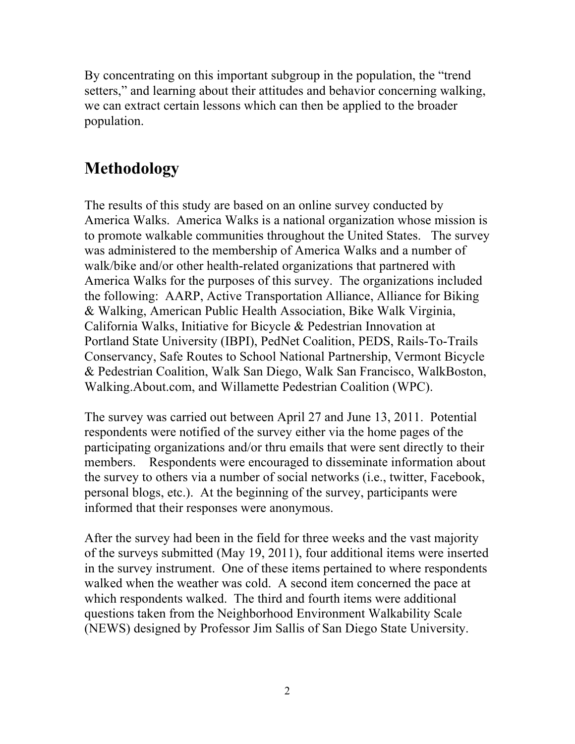By concentrating on this important subgroup in the population, the "trend setters," and learning about their attitudes and behavior concerning walking, we can extract certain lessons which can then be applied to the broader population.

# **Methodology**

The results of this study are based on an online survey conducted by America Walks. America Walks is a national organization whose mission is to promote walkable communities throughout the United States. The survey was administered to the membership of America Walks and a number of walk/bike and/or other health-related organizations that partnered with America Walks for the purposes of this survey. The organizations included the following: AARP, Active Transportation Alliance, Alliance for Biking & Walking, American Public Health Association, Bike Walk Virginia, California Walks, Initiative for Bicycle & Pedestrian Innovation at Portland State University (IBPI), PedNet Coalition, PEDS, Rails-To-Trails Conservancy, Safe Routes to School National Partnership, Vermont Bicycle & Pedestrian Coalition, Walk San Diego, Walk San Francisco, WalkBoston, Walking.About.com, and Willamette Pedestrian Coalition (WPC).

The survey was carried out between April 27 and June 13, 2011. Potential respondents were notified of the survey either via the home pages of the participating organizations and/or thru emails that were sent directly to their members. Respondents were encouraged to disseminate information about the survey to others via a number of social networks (i.e., twitter, Facebook, personal blogs, etc.). At the beginning of the survey, participants were informed that their responses were anonymous.

After the survey had been in the field for three weeks and the vast majority of the surveys submitted (May 19, 2011), four additional items were inserted in the survey instrument. One of these items pertained to where respondents walked when the weather was cold. A second item concerned the pace at which respondents walked. The third and fourth items were additional questions taken from the Neighborhood Environment Walkability Scale (NEWS) designed by Professor Jim Sallis of San Diego State University.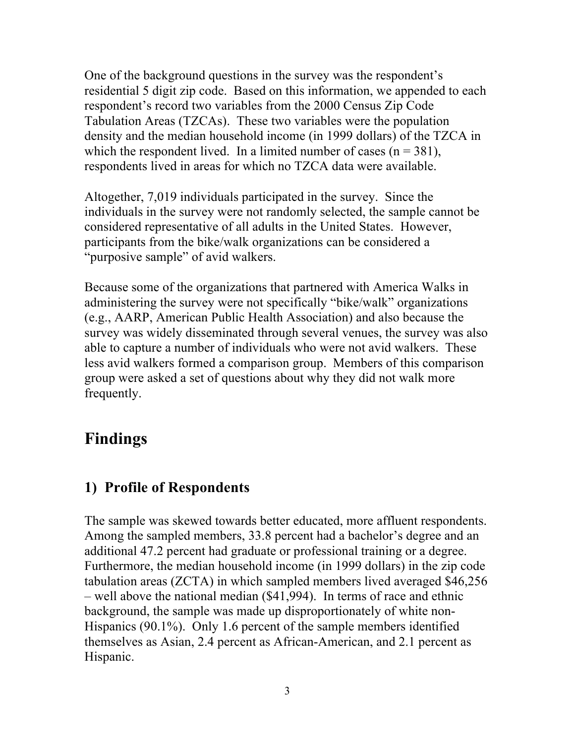One of the background questions in the survey was the respondent's residential 5 digit zip code. Based on this information, we appended to each respondent's record two variables from the 2000 Census Zip Code Tabulation Areas (TZCAs). These two variables were the population density and the median household income (in 1999 dollars) of the TZCA in which the respondent lived. In a limited number of cases  $(n = 381)$ , respondents lived in areas for which no TZCA data were available.

Altogether, 7,019 individuals participated in the survey. Since the individuals in the survey were not randomly selected, the sample cannot be considered representative of all adults in the United States. However, participants from the bike/walk organizations can be considered a "purposive sample" of avid walkers.

Because some of the organizations that partnered with America Walks in administering the survey were not specifically "bike/walk" organizations (e.g., AARP, American Public Health Association) and also because the survey was widely disseminated through several venues, the survey was also able to capture a number of individuals who were not avid walkers. These less avid walkers formed a comparison group. Members of this comparison group were asked a set of questions about why they did not walk more frequently.

# **Findings**

### **1) Profile of Respondents**

The sample was skewed towards better educated, more affluent respondents. Among the sampled members, 33.8 percent had a bachelor's degree and an additional 47.2 percent had graduate or professional training or a degree. Furthermore, the median household income (in 1999 dollars) in the zip code tabulation areas (ZCTA) in which sampled members lived averaged \$46,256 – well above the national median (\$41,994). In terms of race and ethnic background, the sample was made up disproportionately of white non-Hispanics (90.1%). Only 1.6 percent of the sample members identified themselves as Asian, 2.4 percent as African-American, and 2.1 percent as Hispanic.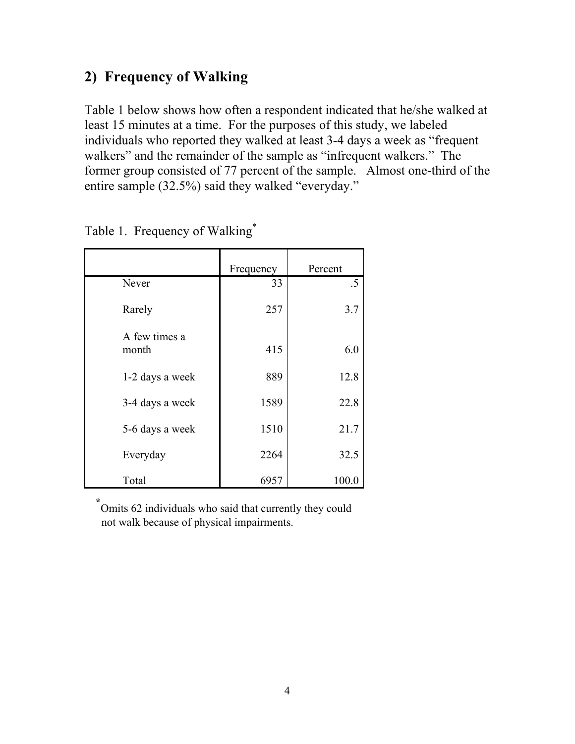# **2) Frequency of Walking**

Table 1 below shows how often a respondent indicated that he/she walked at least 15 minutes at a time. For the purposes of this study, we labeled individuals who reported they walked at least 3-4 days a week as "frequent walkers" and the remainder of the sample as "infrequent walkers." The former group consisted of 77 percent of the sample. Almost one-third of the entire sample (32.5%) said they walked "everyday."

|                        | Frequency | Percent |
|------------------------|-----------|---------|
| Never                  | 33        | $.5\,$  |
| Rarely                 | 257       | 3.7     |
| A few times a<br>month | 415       | 6.0     |
| 1-2 days a week        | 889       | 12.8    |
| 3-4 days a week        | 1589      | 22.8    |
| 5-6 days a week        | 1510      | 21.7    |
| Everyday               | 2264      | 32.5    |
| Total                  | 6957      | 100.0   |

Table 1. Frequency of Walking\*

 **\*** Omits 62 individuals who said that currently they could not walk because of physical impairments.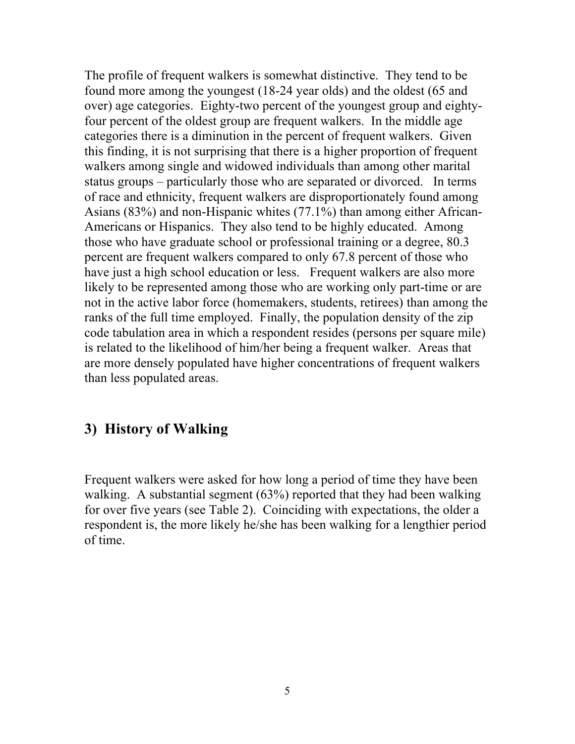The profile of frequent walkers is somewhat distinctive. They tend to be found more among the youngest (18-24 year olds) and the oldest (65 and over) age categories. Eighty-two percent of the youngest group and eightyfour percent of the oldest group are frequent walkers. In the middle age categories there is a diminution in the percent of frequent walkers. Given this finding, it is not surprising that there is a higher proportion of frequent walkers among single and widowed individuals than among other marital status groups – particularly those who are separated or divorced. In terms of race and ethnicity, frequent walkers are disproportionately found among Asians (83%) and non-Hispanic whites (77.1%) than among either African-Americans or Hispanics. They also tend to be highly educated. Among those who have graduate school or professional training or a degree, 80.3 percent are frequent walkers compared to only 67.8 percent of those who have just a high school education or less. Frequent walkers are also more likely to be represented among those who are working only part-time or are not in the active labor force (homemakers, students, retirees) than among the ranks of the full time employed. Finally, the population density of the zip code tabulation area in which a respondent resides (persons per square mile) is related to the likelihood of him/her being a frequent walker. Areas that are more densely populated have higher concentrations of frequent walkers than less populated areas.

#### **3) History of Walking**

Frequent walkers were asked for how long a period of time they have been walking. A substantial segment (63%) reported that they had been walking for over five years (see Table 2). Coinciding with expectations, the older a respondent is, the more likely he/she has been walking for a lengthier period of time.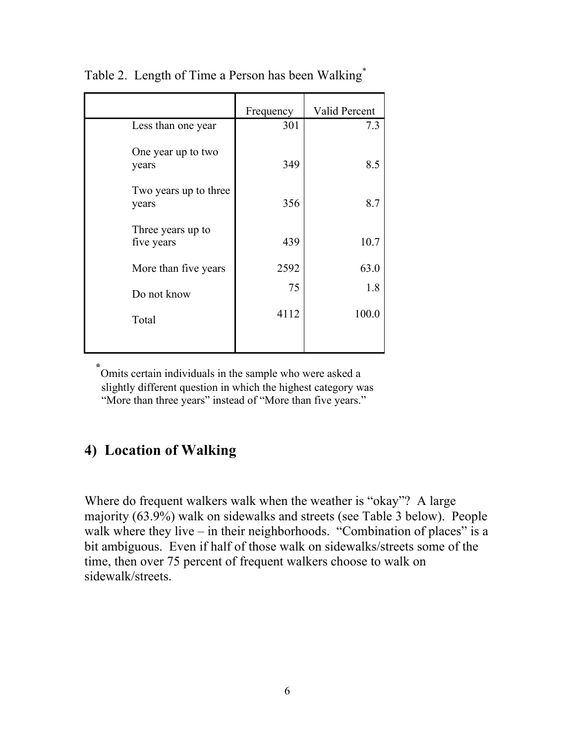|                                 | Frequency | Valid Percent |
|---------------------------------|-----------|---------------|
| Less than one year              | 301       | 7.3           |
| One year up to two<br>years     | 349       | 8.5           |
| Two years up to three<br>years  | 356       | 8.7           |
| Three years up to<br>five years | 439       | 10.7          |
| More than five years            | 2592      | 63.0          |
| Do not know                     | 75        | 1.8           |
| Total                           | 4112      | 100.0         |
|                                 |           |               |

Table 2. Length of Time a Person has been Walking\*

 **\*** Omits certain individuals in the sample who were asked a slightly different question in which the highest category was "More than three years" instead of "More than five years."

### **4) Location of Walking**

Where do frequent walkers walk when the weather is "okay"? A large majority (63.9%) walk on sidewalks and streets (see Table 3 below). People walk where they live – in their neighborhoods. "Combination of places" is a bit ambiguous. Even if half of those walk on sidewalks/streets some of the time, then over 75 percent of frequent walkers choose to walk on sidewalk/streets.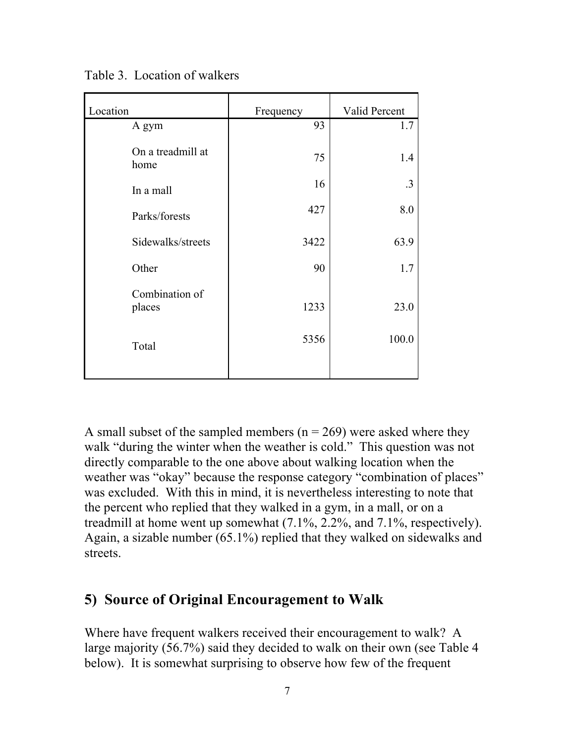| Location                  | Frequency | Valid Percent |
|---------------------------|-----------|---------------|
| A gym                     | 93        | 1.7           |
| On a treadmill at<br>home | 75        | 1.4           |
| In a mall                 | 16        | .3            |
| Parks/forests             | 427       | 8.0           |
| Sidewalks/streets         | 3422      | 63.9          |
| Other                     | 90        | 1.7           |
| Combination of<br>places  | 1233      | 23.0          |
| Total                     | 5356      | 100.0         |

Table 3. Location of walkers

A small subset of the sampled members ( $n = 269$ ) were asked where they walk "during the winter when the weather is cold." This question was not directly comparable to the one above about walking location when the weather was "okay" because the response category "combination of places" was excluded. With this in mind, it is nevertheless interesting to note that the percent who replied that they walked in a gym, in a mall, or on a treadmill at home went up somewhat (7.1%, 2.2%, and 7.1%, respectively). Again, a sizable number (65.1%) replied that they walked on sidewalks and streets.

#### **5) Source of Original Encouragement to Walk**

Where have frequent walkers received their encouragement to walk? A large majority (56.7%) said they decided to walk on their own (see Table 4 below). It is somewhat surprising to observe how few of the frequent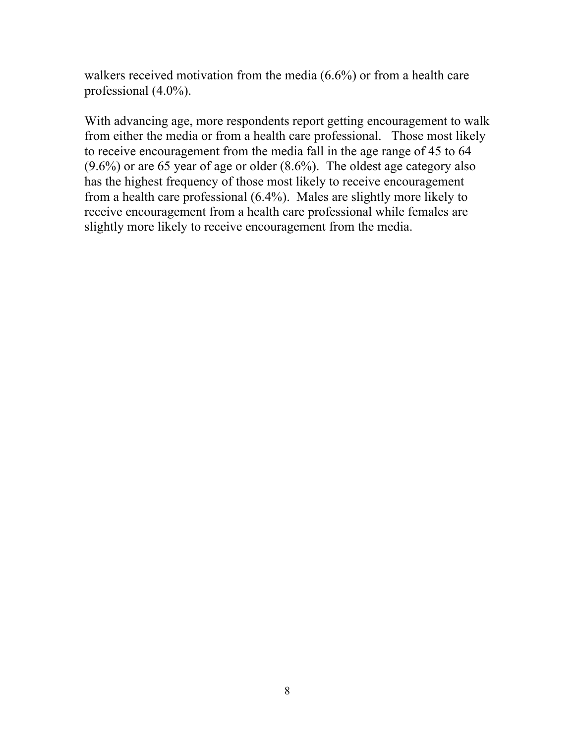walkers received motivation from the media (6.6%) or from a health care professional (4.0%).

With advancing age, more respondents report getting encouragement to walk from either the media or from a health care professional. Those most likely to receive encouragement from the media fall in the age range of 45 to 64 (9.6%) or are 65 year of age or older (8.6%). The oldest age category also has the highest frequency of those most likely to receive encouragement from a health care professional (6.4%). Males are slightly more likely to receive encouragement from a health care professional while females are slightly more likely to receive encouragement from the media.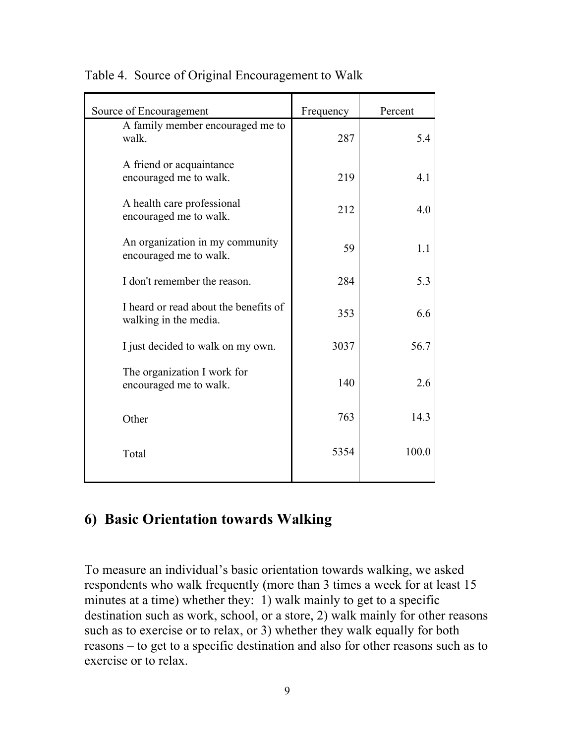| Source of Encouragement                                        | Frequency | Percent |
|----------------------------------------------------------------|-----------|---------|
| A family member encouraged me to<br>walk.                      | 287       | 5.4     |
| A friend or acquaintance<br>encouraged me to walk.             | 219       | 4.1     |
| A health care professional<br>encouraged me to walk.           | 212       | 4.0     |
| An organization in my community<br>encouraged me to walk.      | 59        | 1.1     |
| I don't remember the reason.                                   | 284       | 5.3     |
| I heard or read about the benefits of<br>walking in the media. | 353       | 6.6     |
| I just decided to walk on my own.                              | 3037      | 56.7    |
| The organization I work for<br>encouraged me to walk.          | 140       | 2.6     |
| Other                                                          | 763       | 14.3    |
| Total                                                          | 5354      | 100.0   |
|                                                                |           |         |

Table 4. Source of Original Encouragement to Walk

#### **6) Basic Orientation towards Walking**

To measure an individual's basic orientation towards walking, we asked respondents who walk frequently (more than 3 times a week for at least 15 minutes at a time) whether they: 1) walk mainly to get to a specific destination such as work, school, or a store, 2) walk mainly for other reasons such as to exercise or to relax, or 3) whether they walk equally for both reasons – to get to a specific destination and also for other reasons such as to exercise or to relax.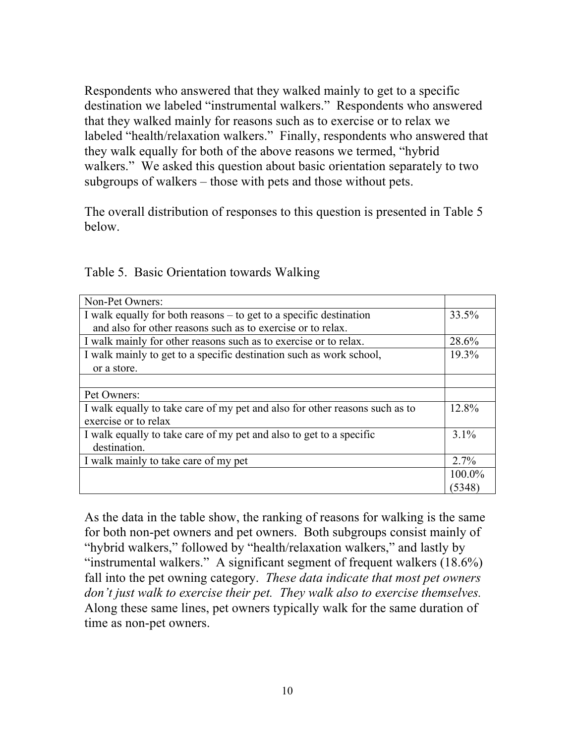Respondents who answered that they walked mainly to get to a specific destination we labeled "instrumental walkers." Respondents who answered that they walked mainly for reasons such as to exercise or to relax we labeled "health/relaxation walkers." Finally, respondents who answered that they walk equally for both of the above reasons we termed, "hybrid walkers." We asked this question about basic orientation separately to two subgroups of walkers – those with pets and those without pets.

The overall distribution of responses to this question is presented in Table 5 below.

| Non-Pet Owners:                                                             |         |
|-----------------------------------------------------------------------------|---------|
| I walk equally for both reasons – to get to a specific destination          | 33.5%   |
| and also for other reasons such as to exercise or to relax.                 |         |
| I walk mainly for other reasons such as to exercise or to relax.            | 28.6%   |
| I walk mainly to get to a specific destination such as work school,         | 19.3%   |
| or a store.                                                                 |         |
|                                                                             |         |
| Pet Owners:                                                                 |         |
| I walk equally to take care of my pet and also for other reasons such as to | 12.8%   |
| exercise or to relax                                                        |         |
| I walk equally to take care of my pet and also to get to a specific         | 3.1%    |
| destination.                                                                |         |
| I walk mainly to take care of my pet                                        | $2.7\%$ |
|                                                                             | 100.0%  |
|                                                                             | (5348)  |

Table 5. Basic Orientation towards Walking

As the data in the table show, the ranking of reasons for walking is the same for both non-pet owners and pet owners. Both subgroups consist mainly of "hybrid walkers," followed by "health/relaxation walkers," and lastly by "instrumental walkers." A significant segment of frequent walkers  $(18.6\%)$ fall into the pet owning category. *These data indicate that most pet owners don't just walk to exercise their pet. They walk also to exercise themselves.*  Along these same lines, pet owners typically walk for the same duration of time as non-pet owners.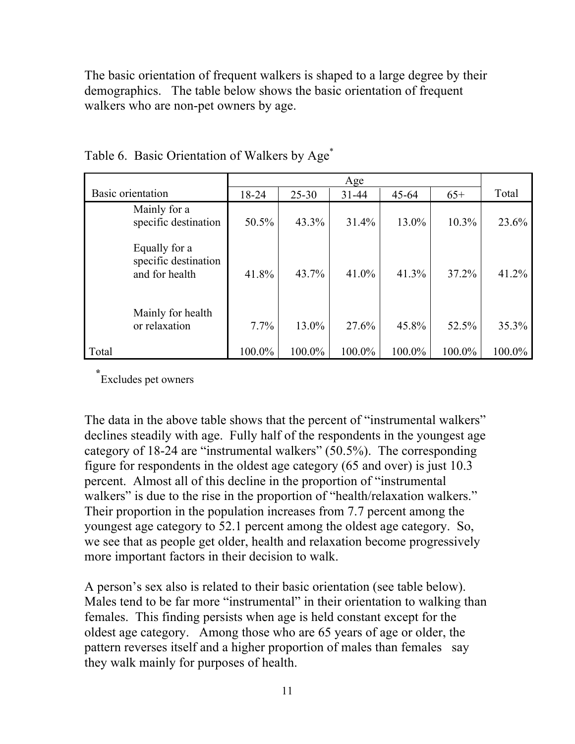The basic orientation of frequent walkers is shaped to a large degree by their demographics. The table below shows the basic orientation of frequent walkers who are non-pet owners by age.

|                                                         |        |           | Age       |           |          |        |
|---------------------------------------------------------|--------|-----------|-----------|-----------|----------|--------|
| Basic orientation                                       | 18-24  | $25 - 30$ | $31 - 44$ | $45 - 64$ | $65+$    | Total  |
| Mainly for a<br>specific destination                    | 50.5%  | 43.3%     | 31.4%     | 13.0%     | $10.3\%$ | 23.6%  |
| Equally for a<br>specific destination<br>and for health | 41.8%  | 43.7%     | 41.0%     | 41.3%     | 37.2%    | 41.2%  |
| Mainly for health<br>or relaxation                      | 7.7%   | 13.0%     | 27.6%     | 45.8%     | 52.5%    | 35.3%  |
| Total                                                   | 100.0% | 100.0%    | 100.0%    | 100.0%    | 100.0%   | 100.0% |

Table 6. Basic Orientation of Walkers by Age<sup>\*</sup>

 **\*** Excludes pet owners

The data in the above table shows that the percent of "instrumental walkers" declines steadily with age. Fully half of the respondents in the youngest age category of 18-24 are "instrumental walkers" (50.5%). The corresponding figure for respondents in the oldest age category (65 and over) is just 10.3 percent. Almost all of this decline in the proportion of "instrumental walkers" is due to the rise in the proportion of "health/relaxation walkers." Their proportion in the population increases from 7.7 percent among the youngest age category to 52.1 percent among the oldest age category. So, we see that as people get older, health and relaxation become progressively more important factors in their decision to walk.

A person's sex also is related to their basic orientation (see table below). Males tend to be far more "instrumental" in their orientation to walking than females. This finding persists when age is held constant except for the oldest age category. Among those who are 65 years of age or older, the pattern reverses itself and a higher proportion of males than females say they walk mainly for purposes of health.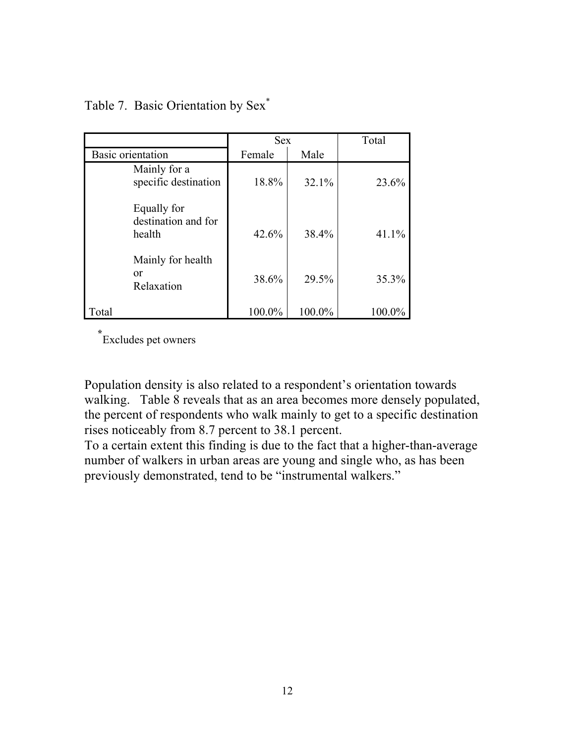|                                              |        | <b>Sex</b> |        |
|----------------------------------------------|--------|------------|--------|
| Basic orientation                            | Female | Male       |        |
| Mainly for a<br>specific destination         | 18.8%  | 32.1%      | 23.6%  |
| Equally for<br>destination and for<br>health | 42.6%  | 38.4%      | 41.1%  |
| Mainly for health<br>or<br>Relaxation        | 38.6%  | 29.5%      | 35.3%  |
| Total                                        | 100.0% | 100.0%     | 100.0% |

#### Table 7. Basic Orientation by Sex\*

**\*** Excludes pet owners

Population density is also related to a respondent's orientation towards walking. Table 8 reveals that as an area becomes more densely populated, the percent of respondents who walk mainly to get to a specific destination rises noticeably from 8.7 percent to 38.1 percent.

To a certain extent this finding is due to the fact that a higher-than-average number of walkers in urban areas are young and single who, as has been previously demonstrated, tend to be "instrumental walkers."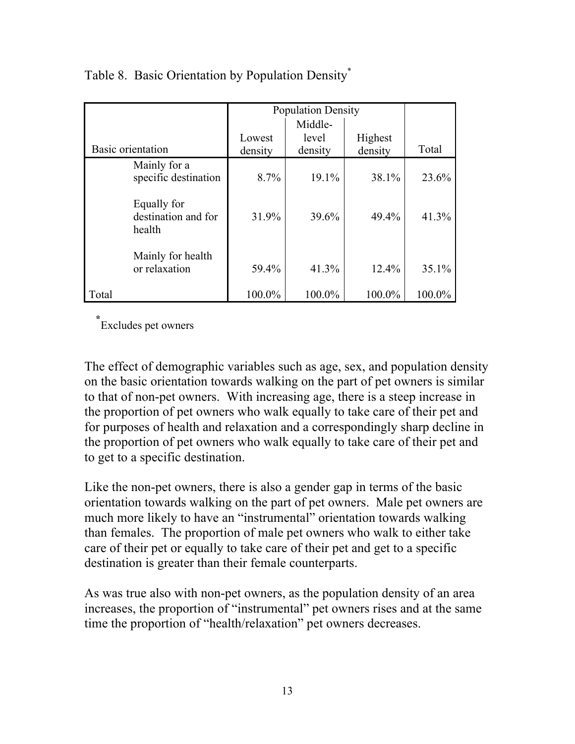|                                              |         | <b>Population Density</b> |         |        |
|----------------------------------------------|---------|---------------------------|---------|--------|
|                                              | Middle- |                           |         |        |
|                                              | Lowest  | level                     | Highest |        |
| Basic orientation                            | density | density                   | density | Total  |
| Mainly for a<br>specific destination         | 8.7%    | 19.1%                     | 38.1%   | 23.6%  |
| Equally for<br>destination and for<br>health | 31.9%   | 39.6%                     | 49.4%   | 41.3%  |
| Mainly for health<br>or relaxation           | 59.4%   | 41.3%                     | 12.4%   | 35.1%  |
| Total                                        | 100.0%  | 100.0%                    | 100.0%  | 100.0% |

#### Table 8. Basic Orientation by Population Density\*

**\*** Excludes pet owners

The effect of demographic variables such as age, sex, and population density on the basic orientation towards walking on the part of pet owners is similar to that of non-pet owners. With increasing age, there is a steep increase in the proportion of pet owners who walk equally to take care of their pet and for purposes of health and relaxation and a correspondingly sharp decline in the proportion of pet owners who walk equally to take care of their pet and to get to a specific destination.

Like the non-pet owners, there is also a gender gap in terms of the basic orientation towards walking on the part of pet owners. Male pet owners are much more likely to have an "instrumental" orientation towards walking than females. The proportion of male pet owners who walk to either take care of their pet or equally to take care of their pet and get to a specific destination is greater than their female counterparts.

As was true also with non-pet owners, as the population density of an area increases, the proportion of "instrumental" pet owners rises and at the same time the proportion of "health/relaxation" pet owners decreases.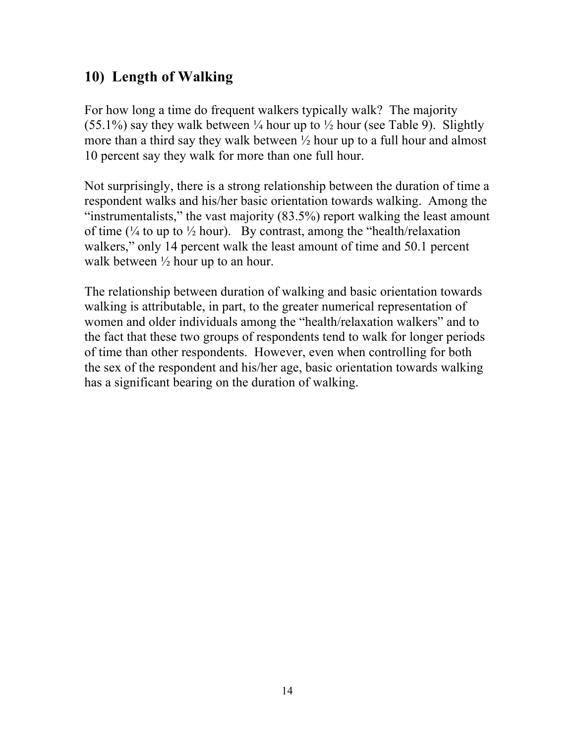# **10) Length of Walking**

For how long a time do frequent walkers typically walk? The majority (55.1%) say they walk between  $\frac{1}{4}$  hour up to  $\frac{1}{2}$  hour (see Table 9). Slightly more than a third say they walk between ½ hour up to a full hour and almost 10 percent say they walk for more than one full hour.

Not surprisingly, there is a strong relationship between the duration of time a respondent walks and his/her basic orientation towards walking. Among the "instrumentalists," the vast majority (83.5%) report walking the least amount of time ( $\frac{1}{4}$  to up to  $\frac{1}{2}$  hour). By contrast, among the "health/relaxation" walkers," only 14 percent walk the least amount of time and 50.1 percent walk between  $\frac{1}{2}$  hour up to an hour.

The relationship between duration of walking and basic orientation towards walking is attributable, in part, to the greater numerical representation of women and older individuals among the "health/relaxation walkers" and to the fact that these two groups of respondents tend to walk for longer periods of time than other respondents. However, even when controlling for both the sex of the respondent and his/her age, basic orientation towards walking has a significant bearing on the duration of walking.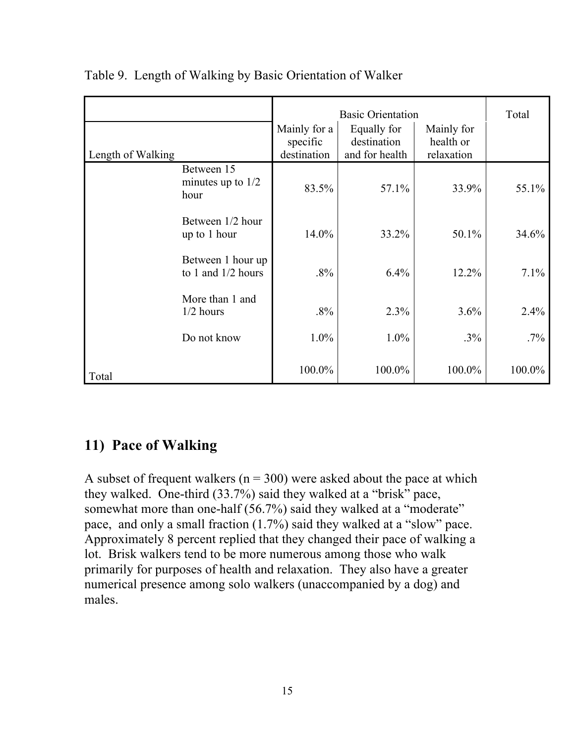|                   |                                                                                                                                  |        | <b>Basic Orientation</b> |        |         |
|-------------------|----------------------------------------------------------------------------------------------------------------------------------|--------|--------------------------|--------|---------|
| Length of Walking | Mainly for a<br>Equally for<br>Mainly for<br>destination<br>health or<br>specific<br>destination<br>and for health<br>relaxation |        |                          |        |         |
|                   | Between 15<br>minutes up to $1/2$<br>hour                                                                                        | 83.5%  | 57.1%                    | 33.9%  | 55.1%   |
|                   | Between 1/2 hour<br>up to 1 hour                                                                                                 | 14.0%  | 33.2%                    | 50.1%  | 34.6%   |
|                   | Between 1 hour up<br>to 1 and $1/2$ hours                                                                                        | $.8\%$ | 6.4%                     | 12.2%  | 7.1%    |
|                   | More than 1 and<br>$1/2$ hours                                                                                                   | $.8\%$ | 2.3%                     | 3.6%   | $2.4\%$ |
|                   | Do not know                                                                                                                      | 1.0%   | 1.0%                     | $.3\%$ | $.7\%$  |
| Total             |                                                                                                                                  | 100.0% | 100.0%                   | 100.0% | 100.0%  |

#### Table 9. Length of Walking by Basic Orientation of Walker

### **11) Pace of Walking**

A subset of frequent walkers ( $n = 300$ ) were asked about the pace at which they walked. One-third (33.7%) said they walked at a "brisk" pace, somewhat more than one-half (56.7%) said they walked at a "moderate" pace, and only a small fraction (1.7%) said they walked at a "slow" pace. Approximately 8 percent replied that they changed their pace of walking a lot. Brisk walkers tend to be more numerous among those who walk primarily for purposes of health and relaxation. They also have a greater numerical presence among solo walkers (unaccompanied by a dog) and males.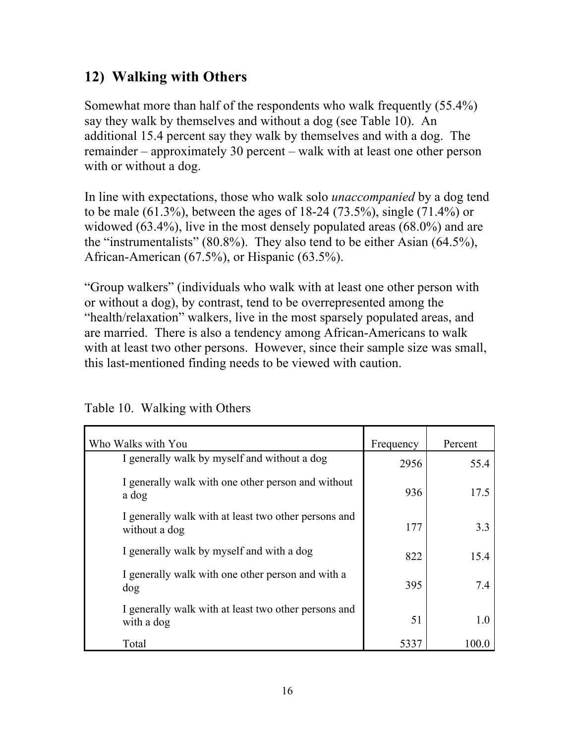# **12) Walking with Others**

Somewhat more than half of the respondents who walk frequently (55.4%) say they walk by themselves and without a dog (see Table 10). An additional 15.4 percent say they walk by themselves and with a dog. The remainder – approximately 30 percent – walk with at least one other person with or without a dog.

In line with expectations, those who walk solo *unaccompanied* by a dog tend to be male (61.3%), between the ages of 18-24 (73.5%), single (71.4%) or widowed (63.4%), live in the most densely populated areas (68.0%) and are the "instrumentalists" (80.8%). They also tend to be either Asian (64.5%), African-American (67.5%), or Hispanic (63.5%).

"Group walkers" (individuals who walk with at least one other person with or without a dog), by contrast, tend to be overrepresented among the "health/relaxation" walkers, live in the most sparsely populated areas, and are married. There is also a tendency among African-Americans to walk with at least two other persons. However, since their sample size was small, this last-mentioned finding needs to be viewed with caution.

| Who Walks with You                                                    | Frequency | Percent |
|-----------------------------------------------------------------------|-----------|---------|
| I generally walk by myself and without a dog                          | 2956      | 55.4    |
| I generally walk with one other person and without<br>a dog           | 936       | 17.5    |
| I generally walk with at least two other persons and<br>without a dog | 177       | 3.3     |
| I generally walk by myself and with a dog                             | 822       | 15.4    |
| I generally walk with one other person and with a<br>dog              | 395       | 7.4     |
| I generally walk with at least two other persons and<br>with a dog    | 51        | 1.0     |
| Total                                                                 | 5337      | 100.0   |

Table 10. Walking with Others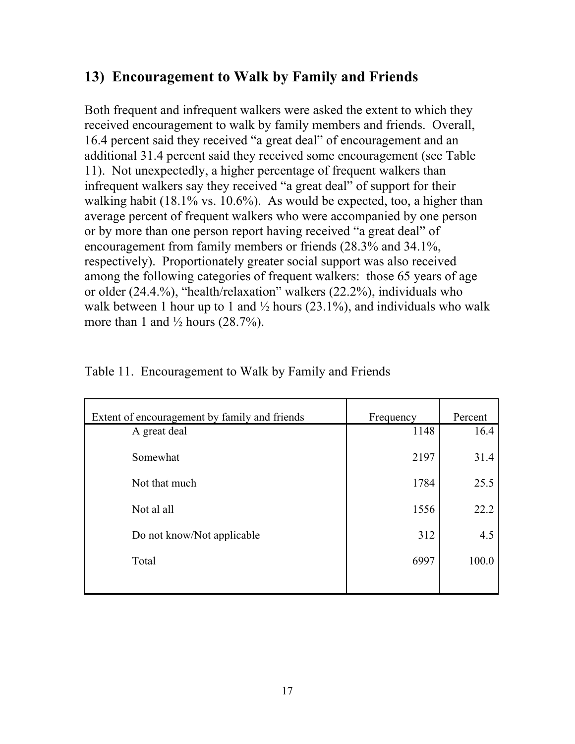## **13) Encouragement to Walk by Family and Friends**

Both frequent and infrequent walkers were asked the extent to which they received encouragement to walk by family members and friends. Overall, 16.4 percent said they received "a great deal" of encouragement and an additional 31.4 percent said they received some encouragement (see Table 11). Not unexpectedly, a higher percentage of frequent walkers than infrequent walkers say they received "a great deal" of support for their walking habit (18.1% vs. 10.6%). As would be expected, too, a higher than average percent of frequent walkers who were accompanied by one person or by more than one person report having received "a great deal" of encouragement from family members or friends (28.3% and 34.1%, respectively). Proportionately greater social support was also received among the following categories of frequent walkers: those 65 years of age or older (24.4.%), "health/relaxation" walkers (22.2%), individuals who walk between 1 hour up to 1 and  $\frac{1}{2}$  hours (23.1%), and individuals who walk more than 1 and  $\frac{1}{2}$  hours (28.7%).

| Extent of encouragement by family and friends | Frequency | Percent |
|-----------------------------------------------|-----------|---------|
| A great deal                                  | 1148      | 16.4    |
| Somewhat                                      | 2197      | 31.4    |
| Not that much                                 | 1784      | 25.5    |
| Not al all                                    | 1556      | 22.2    |
| Do not know/Not applicable                    | 312       | 4.5     |
| Total                                         | 6997      | 100.0   |
|                                               |           |         |

Table 11. Encouragement to Walk by Family and Friends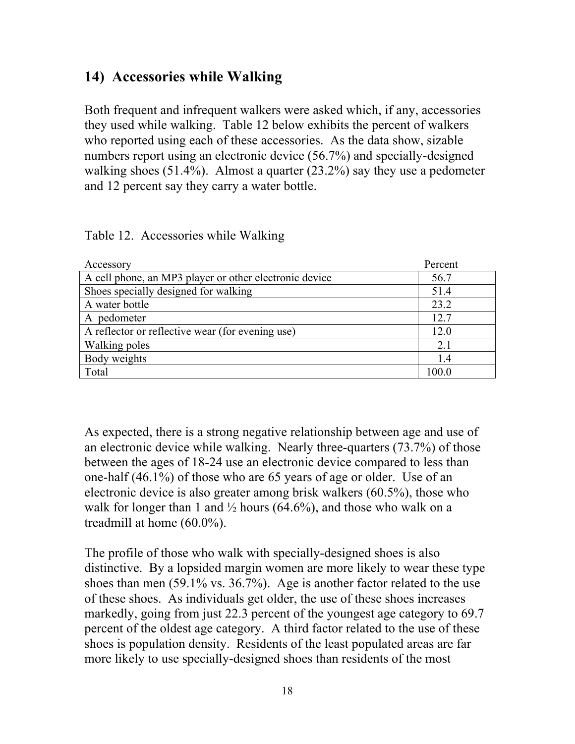### **14) Accessories while Walking**

Both frequent and infrequent walkers were asked which, if any, accessories they used while walking. Table 12 below exhibits the percent of walkers who reported using each of these accessories. As the data show, sizable numbers report using an electronic device (56.7%) and specially-designed walking shoes (51.4%). Almost a quarter (23.2%) say they use a pedometer and 12 percent say they carry a water bottle.

| Accessory                                              | Percent |
|--------------------------------------------------------|---------|
| A cell phone, an MP3 player or other electronic device | 56.7    |
| Shoes specially designed for walking                   | 51.4    |
| A water bottle                                         | 23.2    |
| A pedometer                                            | 12.7    |
| A reflector or reflective wear (for evening use)       | 12.0    |
| Walking poles                                          | 2.1     |
| Body weights                                           | 1.4     |
| Total                                                  | 100.0   |

Table 12. Accessories while Walking

As expected, there is a strong negative relationship between age and use of an electronic device while walking. Nearly three-quarters (73.7%) of those between the ages of 18-24 use an electronic device compared to less than one-half (46.1%) of those who are 65 years of age or older. Use of an electronic device is also greater among brisk walkers (60.5%), those who walk for longer than 1 and  $\frac{1}{2}$  hours (64.6%), and those who walk on a treadmill at home (60.0%).

The profile of those who walk with specially-designed shoes is also distinctive. By a lopsided margin women are more likely to wear these type shoes than men (59.1% vs. 36.7%). Age is another factor related to the use of these shoes. As individuals get older, the use of these shoes increases markedly, going from just 22.3 percent of the youngest age category to 69.7 percent of the oldest age category. A third factor related to the use of these shoes is population density. Residents of the least populated areas are far more likely to use specially-designed shoes than residents of the most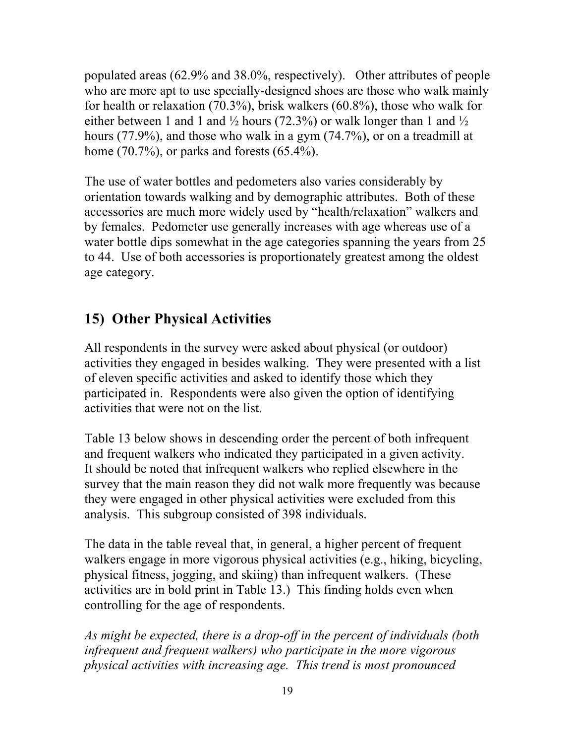populated areas (62.9% and 38.0%, respectively). Other attributes of people who are more apt to use specially-designed shoes are those who walk mainly for health or relaxation (70.3%), brisk walkers (60.8%), those who walk for either between 1 and 1 and  $\frac{1}{2}$  hours (72.3%) or walk longer than 1 and  $\frac{1}{2}$ hours (77.9%), and those who walk in a gym (74.7%), or on a treadmill at home (70.7%), or parks and forests (65.4%).

The use of water bottles and pedometers also varies considerably by orientation towards walking and by demographic attributes. Both of these accessories are much more widely used by "health/relaxation" walkers and by females. Pedometer use generally increases with age whereas use of a water bottle dips somewhat in the age categories spanning the years from 25 to 44. Use of both accessories is proportionately greatest among the oldest age category.

# **15) Other Physical Activities**

All respondents in the survey were asked about physical (or outdoor) activities they engaged in besides walking. They were presented with a list of eleven specific activities and asked to identify those which they participated in. Respondents were also given the option of identifying activities that were not on the list.

Table 13 below shows in descending order the percent of both infrequent and frequent walkers who indicated they participated in a given activity. It should be noted that infrequent walkers who replied elsewhere in the survey that the main reason they did not walk more frequently was because they were engaged in other physical activities were excluded from this analysis. This subgroup consisted of 398 individuals.

The data in the table reveal that, in general, a higher percent of frequent walkers engage in more vigorous physical activities (e.g., hiking, bicycling, physical fitness, jogging, and skiing) than infrequent walkers. (These activities are in bold print in Table 13.) This finding holds even when controlling for the age of respondents.

*As might be expected, there is a drop-off in the percent of individuals (both infrequent and frequent walkers) who participate in the more vigorous physical activities with increasing age. This trend is most pronounced*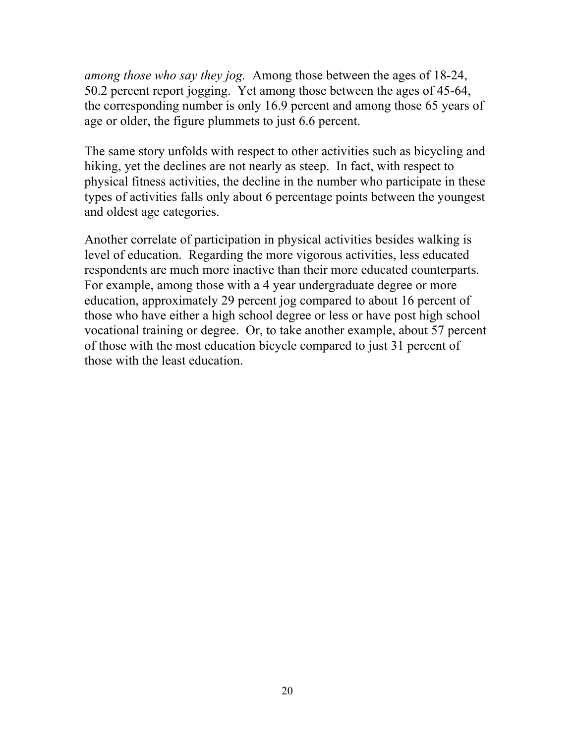*among those who say they jog.* Among those between the ages of 18-24, 50.2 percent report jogging. Yet among those between the ages of 45-64, the corresponding number is only 16.9 percent and among those 65 years of age or older, the figure plummets to just 6.6 percent.

The same story unfolds with respect to other activities such as bicycling and hiking, yet the declines are not nearly as steep. In fact, with respect to physical fitness activities, the decline in the number who participate in these types of activities falls only about 6 percentage points between the youngest and oldest age categories.

Another correlate of participation in physical activities besides walking is level of education. Regarding the more vigorous activities, less educated respondents are much more inactive than their more educated counterparts. For example, among those with a 4 year undergraduate degree or more education, approximately 29 percent jog compared to about 16 percent of those who have either a high school degree or less or have post high school vocational training or degree. Or, to take another example, about 57 percent of those with the most education bicycle compared to just 31 percent of those with the least education.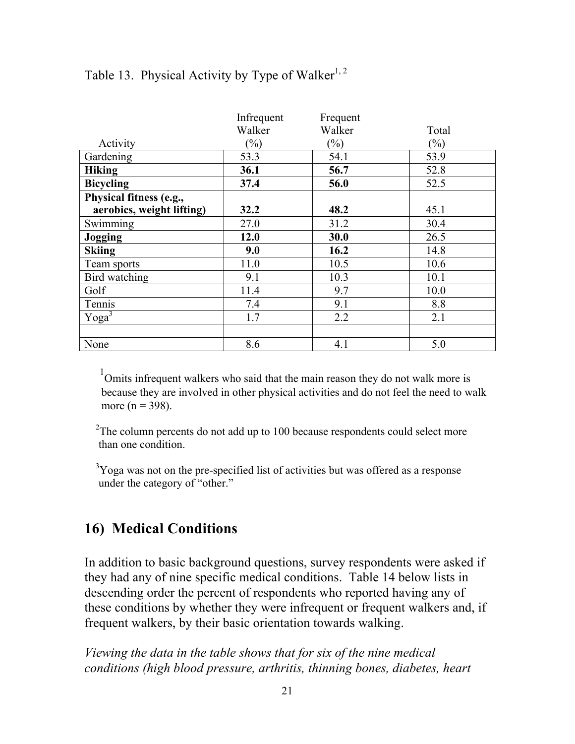|                           | Infrequent     | Frequent                   |        |
|---------------------------|----------------|----------------------------|--------|
|                           | Walker         | Walker                     | Total  |
| Activity                  | $\binom{0}{0}$ | $\left(\frac{0}{0}\right)$ | $(\%)$ |
| Gardening                 | 53.3           | 54.1                       | 53.9   |
| <b>Hiking</b>             | 36.1           | 56.7                       | 52.8   |
| <b>Bicycling</b>          | 37.4           | 56.0                       | 52.5   |
| Physical fitness (e.g.,   |                |                            |        |
| aerobics, weight lifting) | 32.2           | 48.2                       | 45.1   |
| Swimming                  | 27.0           | 31.2                       | 30.4   |
| Jogging                   | 12.0           | 30.0                       | 26.5   |
| <b>Skiing</b>             | 9.0            | 16.2                       | 14.8   |
| Team sports               | 11.0           | 10.5                       | 10.6   |
| Bird watching             | 9.1            | 10.3                       | 10.1   |
| Golf                      | 11.4           | 9.7                        | 10.0   |
| Tennis                    | 7.4            | 9.1                        | 8.8    |
| Yoga <sup>3</sup>         | 1.7            | 2.2                        | 2.1    |
|                           |                |                            |        |
| None                      | 8.6            | 4.1                        | 5.0    |

#### Table 13. Physical Activity by Type of Walker<sup>1, 2</sup>

<sup>1</sup>Omits infrequent walkers who said that the main reason they do not walk more is because they are involved in other physical activities and do not feel the need to walk more ( $n = 398$ ).

 $2$ The column percents do not add up to 100 because respondents could select more than one condition.

<sup>3</sup>Yoga was not on the pre-specified list of activities but was offered as a response under the category of "other."

## **16) Medical Conditions**

In addition to basic background questions, survey respondents were asked if they had any of nine specific medical conditions. Table 14 below lists in descending order the percent of respondents who reported having any of these conditions by whether they were infrequent or frequent walkers and, if frequent walkers, by their basic orientation towards walking.

*Viewing the data in the table shows that for six of the nine medical conditions (high blood pressure, arthritis, thinning bones, diabetes, heart*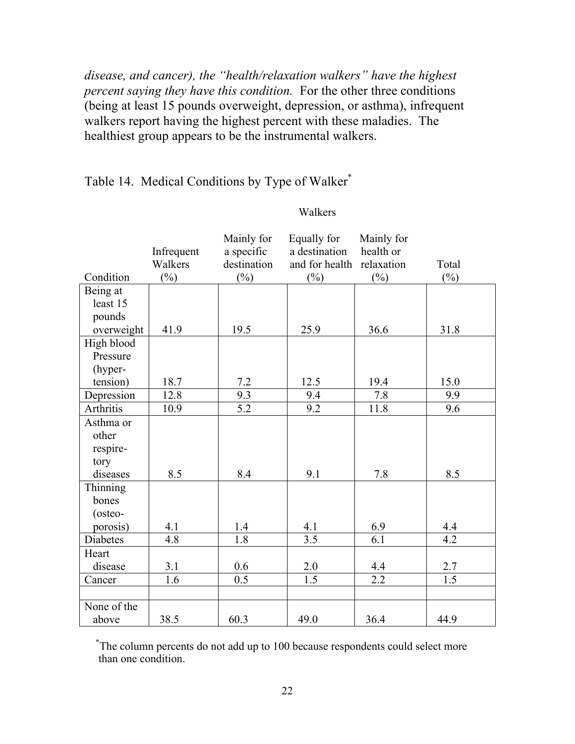*disease, and cancer), the "health/relaxation walkers" have the highest percent saying they have this condition.* For the other three conditions (being at least 15 pounds overweight, depression, or asthma), infrequent walkers report having the highest percent with these maladies. The healthiest group appears to be the instrumental walkers.

#### Table 14. Medical Conditions by Type of Walker\*

# Walkers

| Condition   | Infrequent<br>Walkers<br>$\binom{0}{0}$ | Mainly for<br>a specific<br>destination<br>$(\%)$ | Equally for<br>a destination<br>and for health relaxation<br>$(\%)$ | Mainly for<br>health or<br>$(\%)$ | Total<br>$(\%)$ |
|-------------|-----------------------------------------|---------------------------------------------------|---------------------------------------------------------------------|-----------------------------------|-----------------|
| Being at    |                                         |                                                   |                                                                     |                                   |                 |
| least 15    |                                         |                                                   |                                                                     |                                   |                 |
| pounds      |                                         |                                                   |                                                                     |                                   |                 |
| overweight  | 41.9                                    | 19.5                                              | 25.9                                                                | 36.6                              | 31.8            |
| High blood  |                                         |                                                   |                                                                     |                                   |                 |
| Pressure    |                                         |                                                   |                                                                     |                                   |                 |
| (hyper-     |                                         |                                                   |                                                                     |                                   |                 |
| tension)    | 18.7                                    | 7.2                                               | 12.5                                                                | 19.4                              | 15.0            |
| Depression  | 12.8                                    | 9.3                                               | 9.4                                                                 | 7.8                               | 9.9             |
| Arthritis   | 10.9                                    | $\overline{5.2}$                                  | 9.2                                                                 | 11.8                              | 9.6             |
| Asthma or   |                                         |                                                   |                                                                     |                                   |                 |
| other       |                                         |                                                   |                                                                     |                                   |                 |
| respire-    |                                         |                                                   |                                                                     |                                   |                 |
| tory        |                                         |                                                   |                                                                     |                                   |                 |
| diseases    | 8.5                                     | 8.4                                               | 9.1                                                                 | 7.8                               | 8.5             |
| Thinning    |                                         |                                                   |                                                                     |                                   |                 |
| bones       |                                         |                                                   |                                                                     |                                   |                 |
| (osteo-     |                                         |                                                   |                                                                     |                                   |                 |
| porosis)    | 4.1                                     | 1.4                                               | 4.1                                                                 | 6.9                               | 4.4             |
| Diabetes    | 4.8                                     | 1.8                                               | 3.5                                                                 | 6.1                               | 4.2             |
| Heart       |                                         |                                                   |                                                                     |                                   |                 |
| disease     | 3.1                                     | 0.6                                               | 2.0                                                                 | 4.4                               | 2.7             |
| Cancer      | 1.6                                     | 0.5                                               | 1.5                                                                 | 2.2                               | 1.5             |
|             |                                         |                                                   |                                                                     |                                   |                 |
| None of the |                                         |                                                   |                                                                     |                                   |                 |
| above       | 38.5                                    | 60.3                                              | 49.0                                                                | 36.4                              | 44.9            |

 \* The column percents do not add up to 100 because respondents could select more than one condition.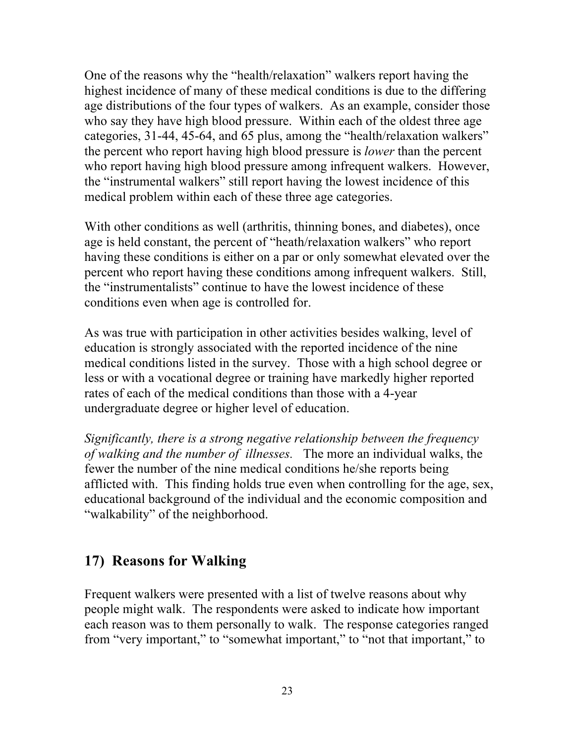One of the reasons why the "health/relaxation" walkers report having the highest incidence of many of these medical conditions is due to the differing age distributions of the four types of walkers. As an example, consider those who say they have high blood pressure. Within each of the oldest three age categories, 31-44, 45-64, and 65 plus, among the "health/relaxation walkers" the percent who report having high blood pressure is *lower* than the percent who report having high blood pressure among infrequent walkers. However, the "instrumental walkers" still report having the lowest incidence of this medical problem within each of these three age categories.

With other conditions as well (arthritis, thinning bones, and diabetes), once age is held constant, the percent of "heath/relaxation walkers" who report having these conditions is either on a par or only somewhat elevated over the percent who report having these conditions among infrequent walkers. Still, the "instrumentalists" continue to have the lowest incidence of these conditions even when age is controlled for.

As was true with participation in other activities besides walking, level of education is strongly associated with the reported incidence of the nine medical conditions listed in the survey. Those with a high school degree or less or with a vocational degree or training have markedly higher reported rates of each of the medical conditions than those with a 4-year undergraduate degree or higher level of education.

*Significantly, there is a strong negative relationship between the frequency of walking and the number of illnesses.* The more an individual walks, the fewer the number of the nine medical conditions he/she reports being afflicted with. This finding holds true even when controlling for the age, sex, educational background of the individual and the economic composition and "walkability" of the neighborhood.

## **17) Reasons for Walking**

Frequent walkers were presented with a list of twelve reasons about why people might walk. The respondents were asked to indicate how important each reason was to them personally to walk. The response categories ranged from "very important," to "somewhat important," to "not that important," to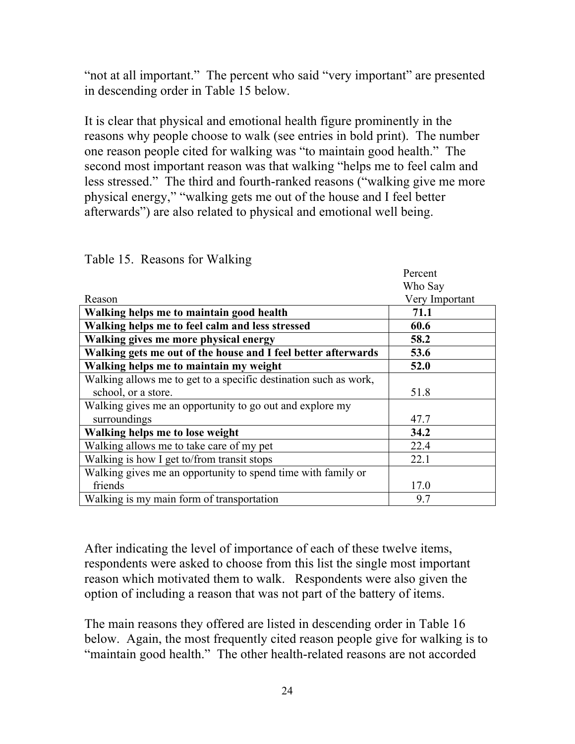"not at all important." The percent who said "very important" are presented in descending order in Table 15 below.

It is clear that physical and emotional health figure prominently in the reasons why people choose to walk (see entries in bold print). The number one reason people cited for walking was "to maintain good health." The second most important reason was that walking "helps me to feel calm and less stressed." The third and fourth-ranked reasons ("walking give me more physical energy," "walking gets me out of the house and I feel better afterwards") are also related to physical and emotional well being.

|                                                                  | Percent        |
|------------------------------------------------------------------|----------------|
|                                                                  | Who Say        |
| Reason                                                           | Very Important |
| Walking helps me to maintain good health                         | 71.1           |
| Walking helps me to feel calm and less stressed                  | 60.6           |
| Walking gives me more physical energy                            | 58.2           |
| Walking gets me out of the house and I feel better afterwards    | 53.6           |
| Walking helps me to maintain my weight                           | 52.0           |
| Walking allows me to get to a specific destination such as work, |                |
| school, or a store.                                              | 51.8           |
| Walking gives me an opportunity to go out and explore my         |                |
| surroundings                                                     | 47.7           |
| Walking helps me to lose weight                                  | 34.2           |
| Walking allows me to take care of my pet                         | 22.4           |
| Walking is how I get to/from transit stops                       | 22.1           |
| Walking gives me an opportunity to spend time with family or     |                |
| friends                                                          | 17.0           |
| Walking is my main form of transportation                        | 9.7            |

Table 15. Reasons for Walking

After indicating the level of importance of each of these twelve items, respondents were asked to choose from this list the single most important reason which motivated them to walk. Respondents were also given the option of including a reason that was not part of the battery of items.

The main reasons they offered are listed in descending order in Table 16 below. Again, the most frequently cited reason people give for walking is to "maintain good health." The other health-related reasons are not accorded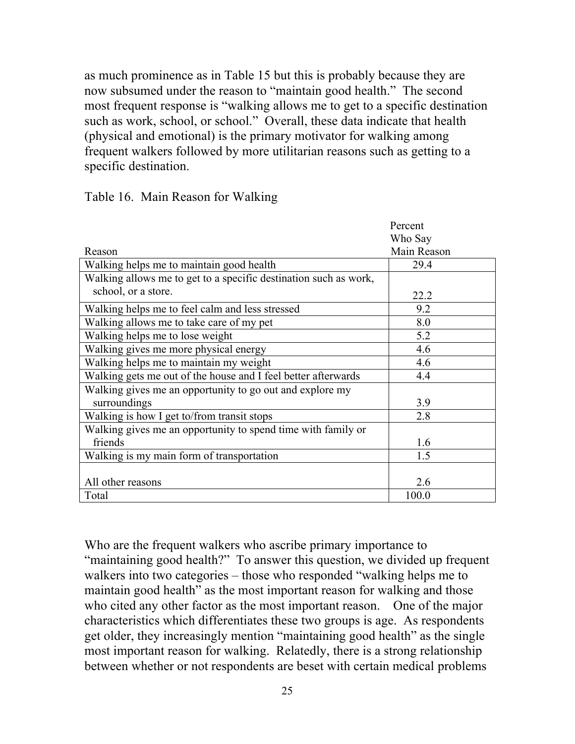as much prominence as in Table 15 but this is probably because they are now subsumed under the reason to "maintain good health." The second most frequent response is "walking allows me to get to a specific destination such as work, school, or school." Overall, these data indicate that health (physical and emotional) is the primary motivator for walking among frequent walkers followed by more utilitarian reasons such as getting to a specific destination.

|                                                                  | Percent<br>Who Say |
|------------------------------------------------------------------|--------------------|
| Reason                                                           | Main Reason        |
| Walking helps me to maintain good health                         | 29.4               |
| Walking allows me to get to a specific destination such as work, |                    |
| school, or a store.                                              | 22.2               |
| Walking helps me to feel calm and less stressed                  | 9.2                |
| Walking allows me to take care of my pet                         | 8.0                |
| Walking helps me to lose weight                                  | 5.2                |
| Walking gives me more physical energy                            | 4.6                |
| Walking helps me to maintain my weight                           | 4.6                |
| Walking gets me out of the house and I feel better afterwards    | 4.4                |
| Walking gives me an opportunity to go out and explore my         |                    |
| surroundings                                                     | 3.9                |
| Walking is how I get to/from transit stops                       | 2.8                |
| Walking gives me an opportunity to spend time with family or     |                    |
| friends                                                          | 1.6                |
| Walking is my main form of transportation                        | 1.5                |
|                                                                  |                    |
| All other reasons                                                | 2.6                |
| Total                                                            | 100.0              |

| Table 16. Main Reason for Walking |  |  |  |
|-----------------------------------|--|--|--|
|-----------------------------------|--|--|--|

Who are the frequent walkers who ascribe primary importance to "maintaining good health?" To answer this question, we divided up frequent walkers into two categories – those who responded "walking helps me to maintain good health" as the most important reason for walking and those who cited any other factor as the most important reason. One of the major characteristics which differentiates these two groups is age. As respondents get older, they increasingly mention "maintaining good health" as the single most important reason for walking. Relatedly, there is a strong relationship between whether or not respondents are beset with certain medical problems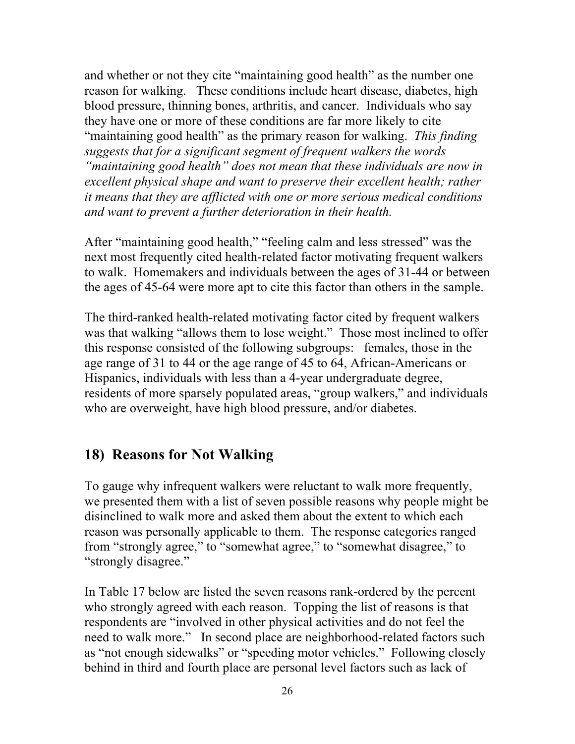and whether or not they cite "maintaining good health" as the number one reason for walking. These conditions include heart disease, diabetes, high blood pressure, thinning bones, arthritis, and cancer. Individuals who say they have one or more of these conditions are far more likely to cite "maintaining good health" as the primary reason for walking. *This finding suggests that for a significant segment of frequent walkers the words "maintaining good health" does not mean that these individuals are now in excellent physical shape and want to preserve their excellent health; rather it means that they are afflicted with one or more serious medical conditions and want to prevent a further deterioration in their health.* 

After "maintaining good health," "feeling calm and less stressed" was the next most frequently cited health-related factor motivating frequent walkers to walk. Homemakers and individuals between the ages of 31-44 or between the ages of 45-64 were more apt to cite this factor than others in the sample.

The third-ranked health-related motivating factor cited by frequent walkers was that walking "allows them to lose weight." Those most inclined to offer this response consisted of the following subgroups: females, those in the age range of 31 to 44 or the age range of 45 to 64, African-Americans or Hispanics, individuals with less than a 4-year undergraduate degree, residents of more sparsely populated areas, "group walkers," and individuals who are overweight, have high blood pressure, and/or diabetes.

#### **18) Reasons for Not Walking**

To gauge why infrequent walkers were reluctant to walk more frequently, we presented them with a list of seven possible reasons why people might be disinclined to walk more and asked them about the extent to which each reason was personally applicable to them. The response categories ranged from "strongly agree," to "somewhat agree," to "somewhat disagree," to "strongly disagree."

In Table 17 below are listed the seven reasons rank-ordered by the percent who strongly agreed with each reason. Topping the list of reasons is that respondents are "involved in other physical activities and do not feel the need to walk more." In second place are neighborhood-related factors such as "not enough sidewalks" or "speeding motor vehicles." Following closely behind in third and fourth place are personal level factors such as lack of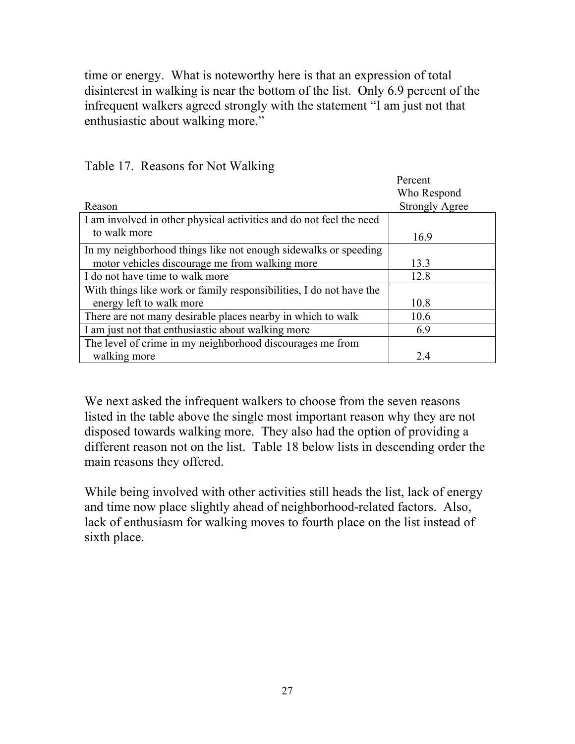time or energy. What is noteworthy here is that an expression of total disinterest in walking is near the bottom of the list. Only 6.9 percent of the infrequent walkers agreed strongly with the statement "I am just not that enthusiastic about walking more."

|                                                                     | Percent               |
|---------------------------------------------------------------------|-----------------------|
|                                                                     | Who Respond           |
| Reason                                                              | <b>Strongly Agree</b> |
| I am involved in other physical activities and do not feel the need |                       |
| to walk more                                                        | 16.9                  |
| In my neighborhood things like not enough sidewalks or speeding     |                       |
| motor vehicles discourage me from walking more                      | 13.3                  |
| I do not have time to walk more                                     | 12.8                  |
| With things like work or family responsibilities, I do not have the |                       |
| energy left to walk more                                            | 10.8                  |
| There are not many desirable places nearby in which to walk         | 10.6                  |
| I am just not that enthusiastic about walking more                  | 6.9                   |
| The level of crime in my neighborhood discourages me from           |                       |
| walking more                                                        | 2.4                   |

Table 17. Reasons for Not Walking

We next asked the infrequent walkers to choose from the seven reasons listed in the table above the single most important reason why they are not disposed towards walking more. They also had the option of providing a different reason not on the list. Table 18 below lists in descending order the main reasons they offered.

While being involved with other activities still heads the list, lack of energy and time now place slightly ahead of neighborhood-related factors. Also, lack of enthusiasm for walking moves to fourth place on the list instead of sixth place.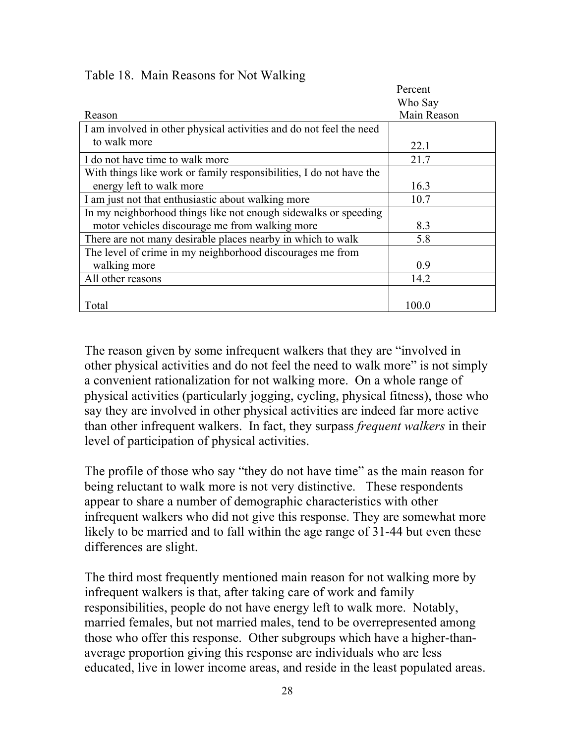|                                                                     | Percent     |
|---------------------------------------------------------------------|-------------|
|                                                                     | Who Say     |
| Reason                                                              | Main Reason |
| I am involved in other physical activities and do not feel the need |             |
| to walk more                                                        | 22.1        |
| I do not have time to walk more                                     | 21.7        |
| With things like work or family responsibilities, I do not have the |             |
| energy left to walk more                                            | 16.3        |
| I am just not that enthusiastic about walking more                  | 10.7        |
| In my neighborhood things like not enough sidewalks or speeding     |             |
| motor vehicles discourage me from walking more                      | 8.3         |
| There are not many desirable places nearby in which to walk         | 5.8         |
| The level of crime in my neighborhood discourages me from           |             |
| walking more                                                        | 0.9         |
| All other reasons                                                   | 14.2        |
|                                                                     |             |
| Total                                                               | 100.0       |

#### Table 18. Main Reasons for Not Walking

The reason given by some infrequent walkers that they are "involved in other physical activities and do not feel the need to walk more" is not simply a convenient rationalization for not walking more. On a whole range of physical activities (particularly jogging, cycling, physical fitness), those who say they are involved in other physical activities are indeed far more active than other infrequent walkers. In fact, they surpass *frequent walkers* in their level of participation of physical activities.

The profile of those who say "they do not have time" as the main reason for being reluctant to walk more is not very distinctive. These respondents appear to share a number of demographic characteristics with other infrequent walkers who did not give this response. They are somewhat more likely to be married and to fall within the age range of 31-44 but even these differences are slight.

The third most frequently mentioned main reason for not walking more by infrequent walkers is that, after taking care of work and family responsibilities, people do not have energy left to walk more. Notably, married females, but not married males, tend to be overrepresented among those who offer this response. Other subgroups which have a higher-thanaverage proportion giving this response are individuals who are less educated, live in lower income areas, and reside in the least populated areas.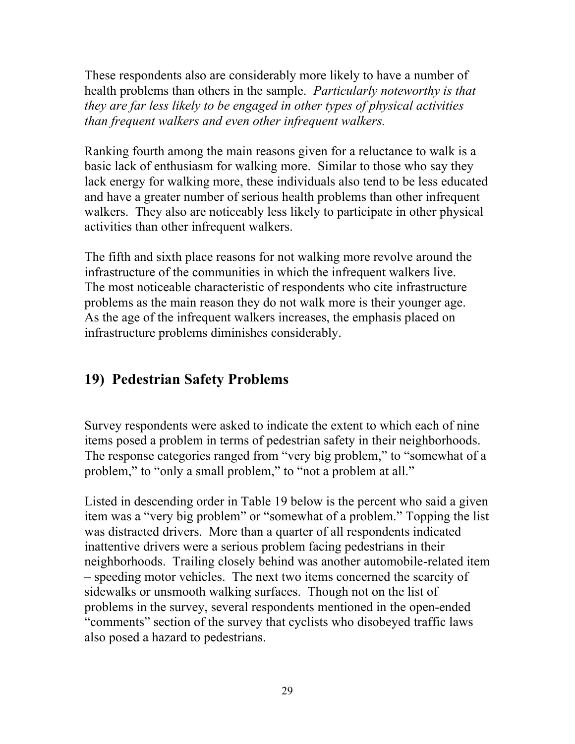These respondents also are considerably more likely to have a number of health problems than others in the sample. *Particularly noteworthy is that they are far less likely to be engaged in other types of physical activities than frequent walkers and even other infrequent walkers.*

Ranking fourth among the main reasons given for a reluctance to walk is a basic lack of enthusiasm for walking more. Similar to those who say they lack energy for walking more, these individuals also tend to be less educated and have a greater number of serious health problems than other infrequent walkers. They also are noticeably less likely to participate in other physical activities than other infrequent walkers.

The fifth and sixth place reasons for not walking more revolve around the infrastructure of the communities in which the infrequent walkers live. The most noticeable characteristic of respondents who cite infrastructure problems as the main reason they do not walk more is their younger age. As the age of the infrequent walkers increases, the emphasis placed on infrastructure problems diminishes considerably.

# **19) Pedestrian Safety Problems**

Survey respondents were asked to indicate the extent to which each of nine items posed a problem in terms of pedestrian safety in their neighborhoods. The response categories ranged from "very big problem," to "somewhat of a problem," to "only a small problem," to "not a problem at all."

Listed in descending order in Table 19 below is the percent who said a given item was a "very big problem" or "somewhat of a problem." Topping the list was distracted drivers. More than a quarter of all respondents indicated inattentive drivers were a serious problem facing pedestrians in their neighborhoods. Trailing closely behind was another automobile-related item – speeding motor vehicles. The next two items concerned the scarcity of sidewalks or unsmooth walking surfaces. Though not on the list of problems in the survey, several respondents mentioned in the open-ended "comments" section of the survey that cyclists who disobeyed traffic laws also posed a hazard to pedestrians.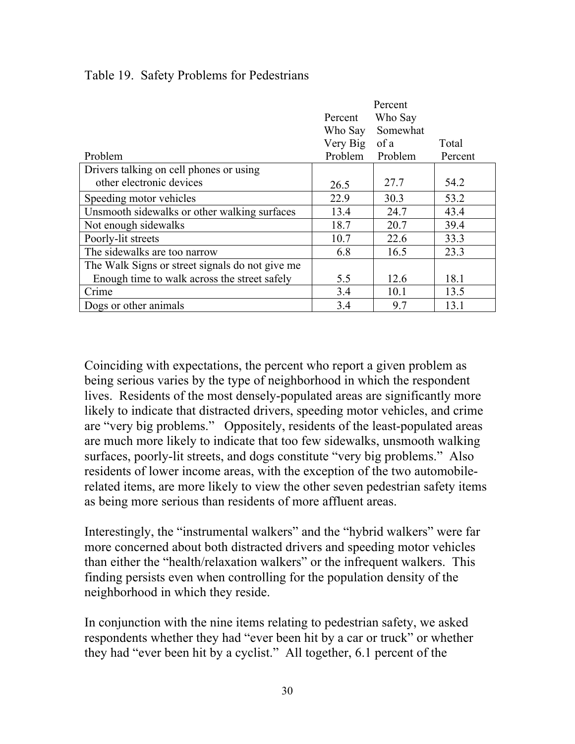|                                                 |                     | Percent  |         |
|-------------------------------------------------|---------------------|----------|---------|
|                                                 | Percent             | Who Say  |         |
|                                                 | Who Say             | Somewhat |         |
|                                                 | Very Big<br>Problem | of a     | Total   |
| Problem                                         |                     | Problem  | Percent |
| Drivers talking on cell phones or using         |                     |          |         |
| other electronic devices                        | 26.5                | 27.7     | 54.2    |
| Speeding motor vehicles                         | 22.9                | 30.3     | 53.2    |
| Unsmooth sidewalks or other walking surfaces    | 13.4                | 24.7     | 43.4    |
| Not enough sidewalks                            | 18.7                | 20.7     | 39.4    |
| Poorly-lit streets                              | 10.7                | 22.6     | 33.3    |
| The sidewalks are too narrow                    | 6.8                 | 16.5     | 23.3    |
| The Walk Signs or street signals do not give me |                     |          |         |
| Enough time to walk across the street safely    | 5.5                 | 12.6     | 18.1    |
| Crime                                           | 3.4                 | 10.1     | 13.5    |
| Dogs or other animals                           | 3.4                 | 9.7      | 13.1    |

Table 19. Safety Problems for Pedestrians

Coinciding with expectations, the percent who report a given problem as being serious varies by the type of neighborhood in which the respondent lives. Residents of the most densely-populated areas are significantly more likely to indicate that distracted drivers, speeding motor vehicles, and crime are "very big problems." Oppositely, residents of the least-populated areas are much more likely to indicate that too few sidewalks, unsmooth walking surfaces, poorly-lit streets, and dogs constitute "very big problems." Also residents of lower income areas, with the exception of the two automobilerelated items, are more likely to view the other seven pedestrian safety items as being more serious than residents of more affluent areas.

Interestingly, the "instrumental walkers" and the "hybrid walkers" were far more concerned about both distracted drivers and speeding motor vehicles than either the "health/relaxation walkers" or the infrequent walkers. This finding persists even when controlling for the population density of the neighborhood in which they reside.

In conjunction with the nine items relating to pedestrian safety, we asked respondents whether they had "ever been hit by a car or truck" or whether they had "ever been hit by a cyclist." All together, 6.1 percent of the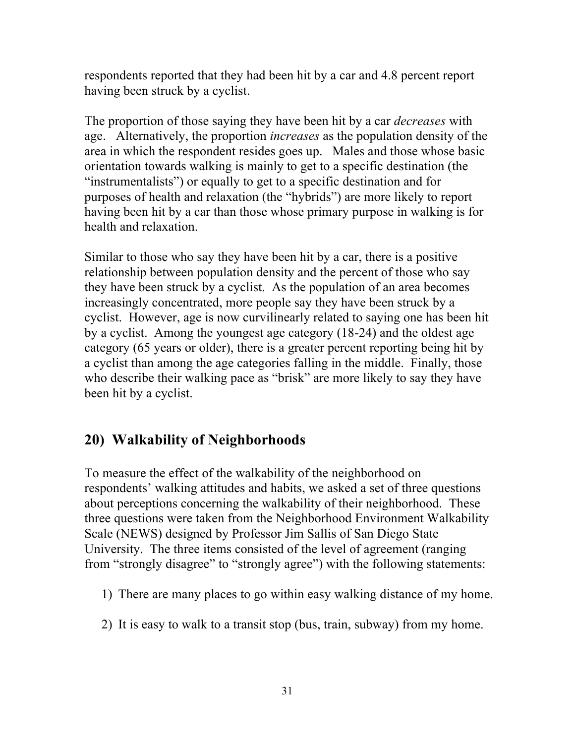respondents reported that they had been hit by a car and 4.8 percent report having been struck by a cyclist.

The proportion of those saying they have been hit by a car *decreases* with age. Alternatively, the proportion *increases* as the population density of the area in which the respondent resides goes up. Males and those whose basic orientation towards walking is mainly to get to a specific destination (the "instrumentalists") or equally to get to a specific destination and for purposes of health and relaxation (the "hybrids") are more likely to report having been hit by a car than those whose primary purpose in walking is for health and relaxation.

Similar to those who say they have been hit by a car, there is a positive relationship between population density and the percent of those who say they have been struck by a cyclist. As the population of an area becomes increasingly concentrated, more people say they have been struck by a cyclist. However, age is now curvilinearly related to saying one has been hit by a cyclist. Among the youngest age category (18-24) and the oldest age category (65 years or older), there is a greater percent reporting being hit by a cyclist than among the age categories falling in the middle. Finally, those who describe their walking pace as "brisk" are more likely to say they have been hit by a cyclist.

## **20) Walkability of Neighborhoods**

To measure the effect of the walkability of the neighborhood on respondents' walking attitudes and habits, we asked a set of three questions about perceptions concerning the walkability of their neighborhood. These three questions were taken from the Neighborhood Environment Walkability Scale (NEWS) designed by Professor Jim Sallis of San Diego State University. The three items consisted of the level of agreement (ranging from "strongly disagree" to "strongly agree") with the following statements:

- 1) There are many places to go within easy walking distance of my home.
- 2) It is easy to walk to a transit stop (bus, train, subway) from my home.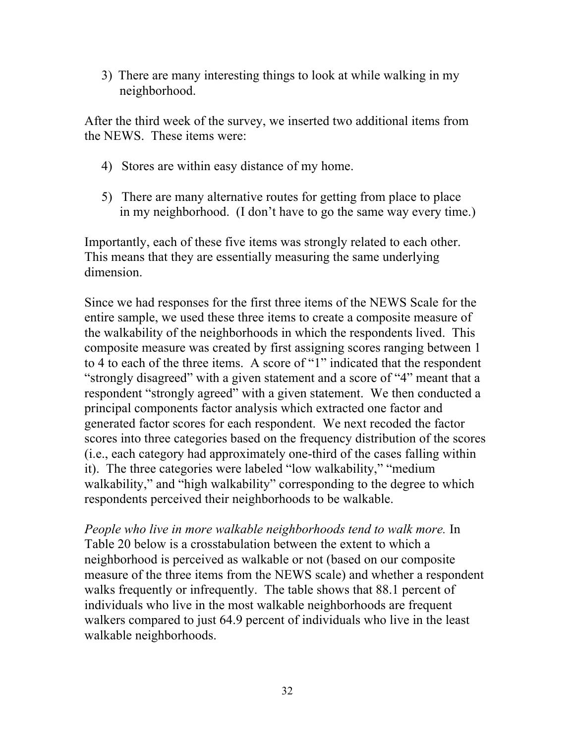3) There are many interesting things to look at while walking in my neighborhood.

After the third week of the survey, we inserted two additional items from the NEWS. These items were:

- 4) Stores are within easy distance of my home.
- 5) There are many alternative routes for getting from place to place in my neighborhood. (I don't have to go the same way every time.)

Importantly, each of these five items was strongly related to each other. This means that they are essentially measuring the same underlying dimension.

Since we had responses for the first three items of the NEWS Scale for the entire sample, we used these three items to create a composite measure of the walkability of the neighborhoods in which the respondents lived. This composite measure was created by first assigning scores ranging between 1 to 4 to each of the three items. A score of "1" indicated that the respondent "strongly disagreed" with a given statement and a score of "4" meant that a respondent "strongly agreed" with a given statement. We then conducted a principal components factor analysis which extracted one factor and generated factor scores for each respondent. We next recoded the factor scores into three categories based on the frequency distribution of the scores (i.e., each category had approximately one-third of the cases falling within it). The three categories were labeled "low walkability," "medium walkability," and "high walkability" corresponding to the degree to which respondents perceived their neighborhoods to be walkable.

*People who live in more walkable neighborhoods tend to walk more.* In Table 20 below is a crosstabulation between the extent to which a neighborhood is perceived as walkable or not (based on our composite measure of the three items from the NEWS scale) and whether a respondent walks frequently or infrequently. The table shows that 88.1 percent of individuals who live in the most walkable neighborhoods are frequent walkers compared to just 64.9 percent of individuals who live in the least walkable neighborhoods.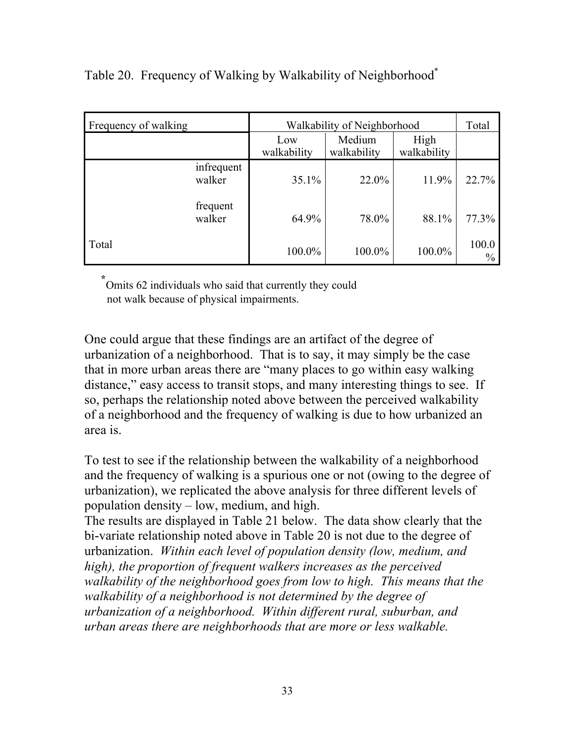| Frequency of walking |                    | Walkability of Neighborhood |                     |                        |
|----------------------|--------------------|-----------------------------|---------------------|------------------------|
|                      | Low<br>walkability | Medium<br>walkability       | High<br>walkability |                        |
| infrequent<br>walker | 35.1%              | $22.0\%$                    | 11.9%               | 22.7%                  |
| frequent<br>walker   | 64.9%              | 78.0%                       | 88.1%               | 77.3%                  |
| Total                | 100.0%             | 100.0%                      | 100.0%              | 100.0<br>$\frac{0}{0}$ |

Table 20. Frequency of Walking by Walkability of Neighborhood<sup>\*</sup>

 **\*** Omits 62 individuals who said that currently they could not walk because of physical impairments.

One could argue that these findings are an artifact of the degree of urbanization of a neighborhood. That is to say, it may simply be the case that in more urban areas there are "many places to go within easy walking distance," easy access to transit stops, and many interesting things to see. If so, perhaps the relationship noted above between the perceived walkability of a neighborhood and the frequency of walking is due to how urbanized an area is.

To test to see if the relationship between the walkability of a neighborhood and the frequency of walking is a spurious one or not (owing to the degree of urbanization), we replicated the above analysis for three different levels of population density – low, medium, and high.

The results are displayed in Table 21 below. The data show clearly that the bi-variate relationship noted above in Table 20 is not due to the degree of urbanization. *Within each level of population density (low, medium, and high), the proportion of frequent walkers increases as the perceived walkability of the neighborhood goes from low to high. This means that the walkability of a neighborhood is not determined by the degree of urbanization of a neighborhood. Within different rural, suburban, and urban areas there are neighborhoods that are more or less walkable.*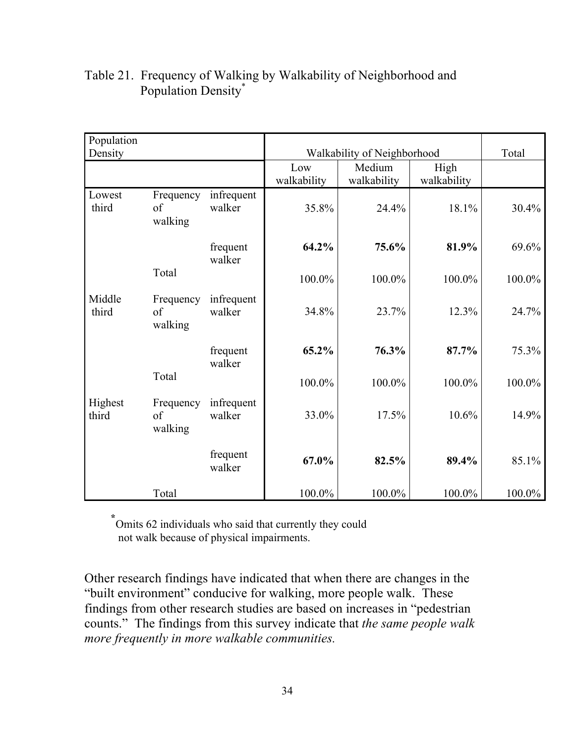| Population<br>Density |                            |                      | Walkability of Neighborhood |                       |                     | Total     |
|-----------------------|----------------------------|----------------------|-----------------------------|-----------------------|---------------------|-----------|
|                       |                            |                      | Low<br>walkability          | Medium<br>walkability | High<br>walkability |           |
| Lowest<br>third       | Frequency<br>of<br>walking | infrequent<br>walker | 35.8%                       | 24.4%                 | 18.1%               | 30.4%     |
|                       |                            | frequent<br>walker   | 64.2%                       | 75.6%                 | 81.9%               | 69.6%     |
|                       | Total                      |                      | 100.0%                      | 100.0%                | 100.0%              | 100.0%    |
| Middle<br>third       | Frequency<br>of<br>walking | infrequent<br>walker | 34.8%                       | 23.7%                 | 12.3%               | 24.7%     |
|                       |                            | frequent<br>walker   | 65.2%                       | 76.3%                 | 87.7%               | 75.3%     |
|                       | Total                      |                      | 100.0%                      | 100.0%                | 100.0%              | 100.0%    |
| Highest<br>third      | Frequency<br>of<br>walking | infrequent<br>walker | 33.0%                       | 17.5%                 | 10.6%               | 14.9%     |
|                       |                            | frequent<br>walker   | 67.0%                       | 82.5%                 | 89.4%               | 85.1%     |
|                       | Total                      |                      | 100.0%                      | 100.0%                | 100.0%              | $100.0\%$ |

#### Table 21. Frequency of Walking by Walkability of Neighborhood and Population Density\*

 **\*** Omits 62 individuals who said that currently they could not walk because of physical impairments.

Other research findings have indicated that when there are changes in the "built environment" conducive for walking, more people walk. These findings from other research studies are based on increases in "pedestrian counts." The findings from this survey indicate that *the same people walk more frequently in more walkable communities.*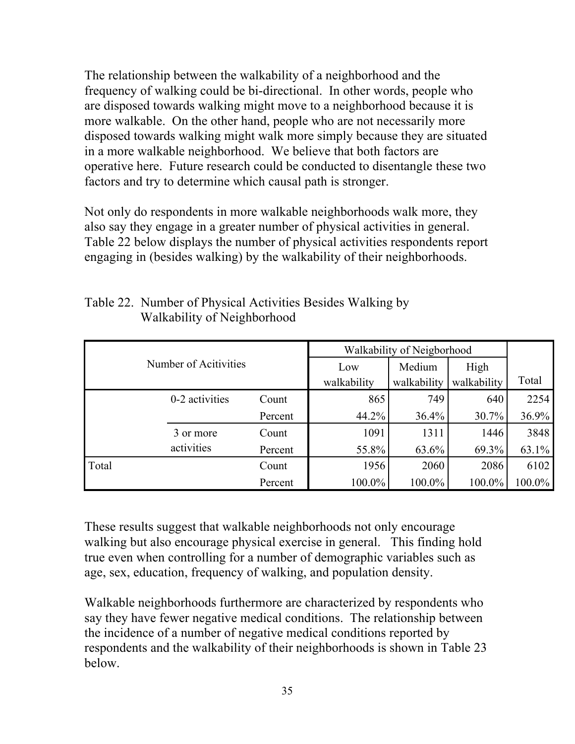The relationship between the walkability of a neighborhood and the frequency of walking could be bi-directional. In other words, people who are disposed towards walking might move to a neighborhood because it is more walkable. On the other hand, people who are not necessarily more disposed towards walking might walk more simply because they are situated in a more walkable neighborhood. We believe that both factors are operative here. Future research could be conducted to disentangle these two factors and try to determine which causal path is stronger.

Not only do respondents in more walkable neighborhoods walk more, they also say they engage in a greater number of physical activities in general. Table 22 below displays the number of physical activities respondents report engaging in (besides walking) by the walkability of their neighborhoods.

|       |                       | Walkability of Neigborhood |                    |                       |                     |        |
|-------|-----------------------|----------------------------|--------------------|-----------------------|---------------------|--------|
|       | Number of Acitivities |                            | Low<br>walkability | Medium<br>walkability | High<br>walkability | Total  |
|       | 0-2 activities        | Count                      | 865                | 749                   | 640                 | 2254   |
|       |                       | Percent                    | 44.2%              | 36.4%                 | 30.7%               | 36.9%  |
|       | 3 or more             | Count                      | 1091               | 1311                  | 1446                | 3848   |
|       | activities            | Percent                    | 55.8%              | 63.6%                 | 69.3%               | 63.1%  |
| Total |                       | Count                      | 1956               | 2060                  | 2086                | 6102   |
|       |                       | Percent                    | 100.0%             | 100.0%                | 100.0%              | 100.0% |

| Table 22. Number of Physical Activities Besides Walking by |
|------------------------------------------------------------|
| Walkability of Neighborhood                                |

These results suggest that walkable neighborhoods not only encourage walking but also encourage physical exercise in general. This finding hold true even when controlling for a number of demographic variables such as age, sex, education, frequency of walking, and population density.

Walkable neighborhoods furthermore are characterized by respondents who say they have fewer negative medical conditions. The relationship between the incidence of a number of negative medical conditions reported by respondents and the walkability of their neighborhoods is shown in Table 23 below.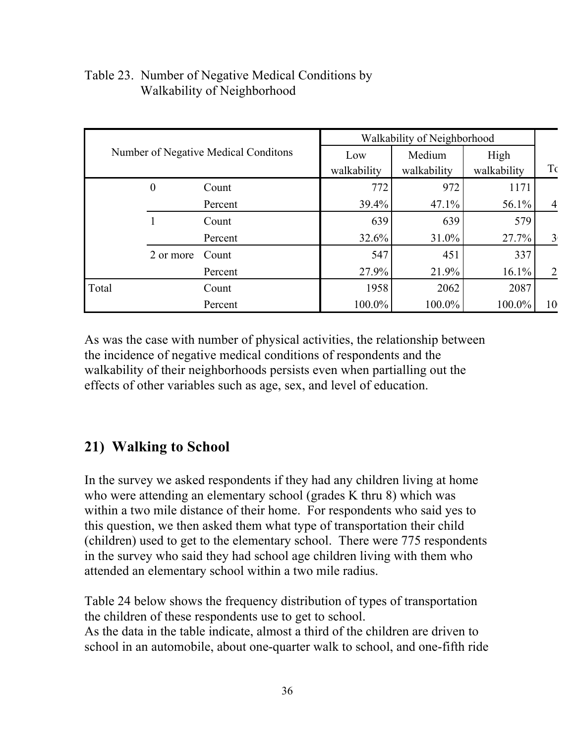| Number of Negative Medical Conditions |                  | Walkability of Neighborhood |                       |                     |          |                |
|---------------------------------------|------------------|-----------------------------|-----------------------|---------------------|----------|----------------|
|                                       |                  | Low<br>walkability          | Medium<br>walkability | High<br>walkability | T        |                |
|                                       | $\boldsymbol{0}$ | Count                       | 772                   | 972                 | 1171     |                |
|                                       |                  | Percent                     | 39.4%                 | 47.1%               | 56.1%    | $\overline{4}$ |
|                                       |                  | Count                       | 639                   | 639                 | 579      |                |
|                                       |                  | Percent                     | 32.6%                 | 31.0%               | 27.7%    | $\overline{3}$ |
|                                       | 2 or more        | Count                       | 547                   | 451                 | 337      |                |
|                                       |                  | Percent                     | 27.9%                 | 21.9%               | $16.1\%$ | $\overline{2}$ |
| Total                                 |                  | Count                       | 1958                  | 2062                | 2087     |                |
|                                       |                  | Percent                     | 100.0%                | 100.0%              | 100.0%   | 10             |

#### Table 23. Number of Negative Medical Conditions by Walkability of Neighborhood

As was the case with number of physical activities, the relationship between the incidence of negative medical conditions of respondents and the walkability of their neighborhoods persists even when partialling out the effects of other variables such as age, sex, and level of education.

## **21) Walking to School**

In the survey we asked respondents if they had any children living at home who were attending an elementary school (grades K thru 8) which was within a two mile distance of their home. For respondents who said yes to this question, we then asked them what type of transportation their child (children) used to get to the elementary school. There were 775 respondents in the survey who said they had school age children living with them who attended an elementary school within a two mile radius.

Table 24 below shows the frequency distribution of types of transportation the children of these respondents use to get to school. As the data in the table indicate, almost a third of the children are driven to school in an automobile, about one-quarter walk to school, and one-fifth ride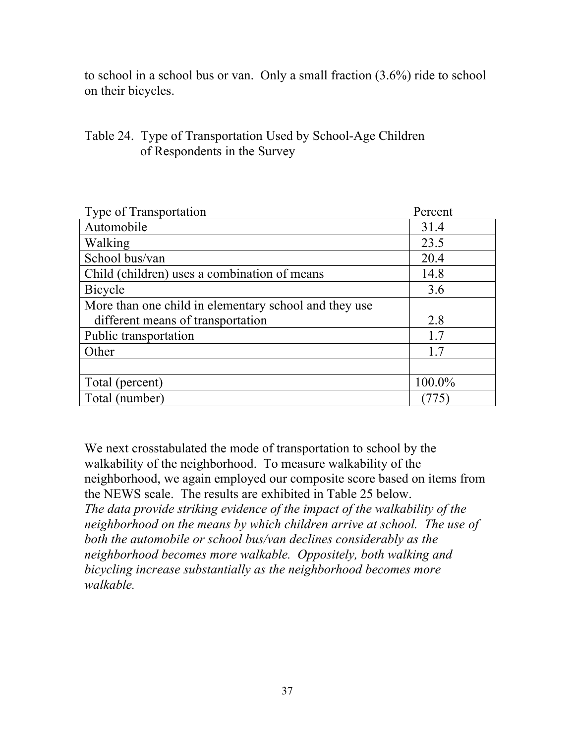to school in a school bus or van. Only a small fraction (3.6%) ride to school on their bicycles.

#### Table 24. Type of Transportation Used by School-Age Children of Respondents in the Survey

| Type of Transportation                                | Percent |
|-------------------------------------------------------|---------|
| Automobile                                            | 31.4    |
| Walking                                               | 23.5    |
| School bus/van                                        | 20.4    |
| Child (children) uses a combination of means          | 14.8    |
| Bicycle                                               | 3.6     |
| More than one child in elementary school and they use |         |
| different means of transportation                     | 2.8     |
| Public transportation                                 | 1.7     |
| Other                                                 | 17      |
|                                                       |         |
| Total (percent)                                       | 100.0%  |
| Total (number)                                        |         |

We next crosstabulated the mode of transportation to school by the walkability of the neighborhood. To measure walkability of the neighborhood, we again employed our composite score based on items from the NEWS scale. The results are exhibited in Table 25 below. *The data provide striking evidence of the impact of the walkability of the neighborhood on the means by which children arrive at school. The use of both the automobile or school bus/van declines considerably as the neighborhood becomes more walkable. Oppositely, both walking and bicycling increase substantially as the neighborhood becomes more walkable.*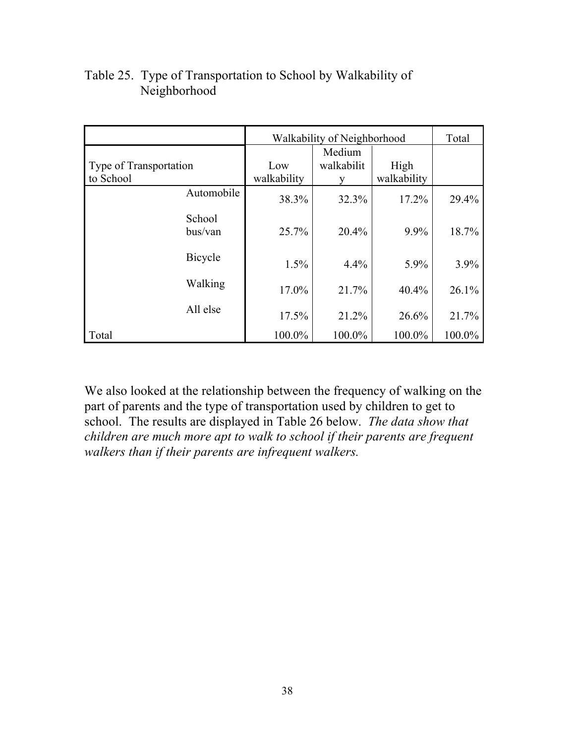|                                     | Walkability of Neighborhood |                           |                     | Total  |
|-------------------------------------|-----------------------------|---------------------------|---------------------|--------|
| Type of Transportation<br>to School | Low<br>walkability          | Medium<br>walkabilit<br>y | High<br>walkability |        |
| Automobile                          | 38.3%                       | 32.3%                     | 17.2%               | 29.4%  |
| School<br>bus/van                   | 25.7%                       | 20.4%                     | 9.9%                | 18.7%  |
| <b>Bicycle</b>                      | 1.5%                        | 4.4%                      | 5.9%                | 3.9%   |
| Walking                             | 17.0%                       | 21.7%                     | $40.4\%$            | 26.1%  |
| All else                            | 17.5%                       | 21.2%                     | 26.6%               | 21.7%  |
| Total                               | 100.0%                      | 100.0%                    | 100.0%              | 100.0% |

#### Table 25. Type of Transportation to School by Walkability of Neighborhood

We also looked at the relationship between the frequency of walking on the part of parents and the type of transportation used by children to get to school. The results are displayed in Table 26 below. *The data show that children are much more apt to walk to school if their parents are frequent walkers than if their parents are infrequent walkers.*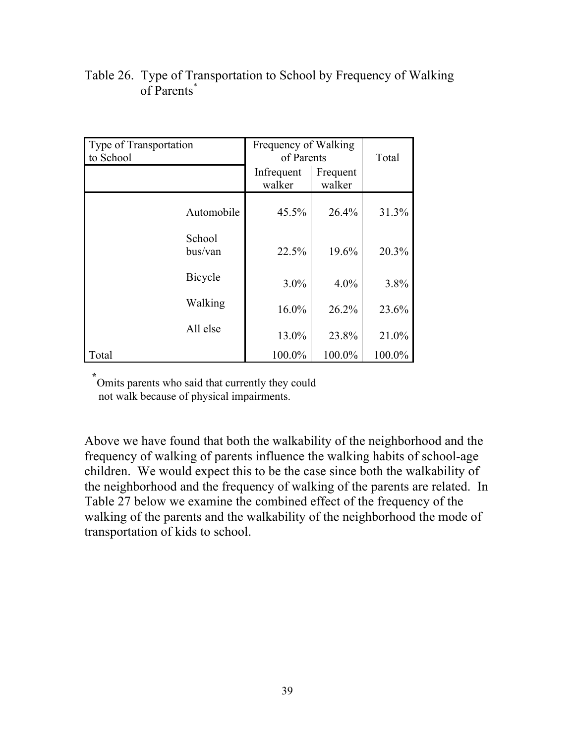| Type of Transportation<br>to School | Frequency of Walking<br>of Parents | Total              |        |
|-------------------------------------|------------------------------------|--------------------|--------|
|                                     | Infrequent<br>walker               | Frequent<br>walker |        |
| Automobile                          | $45.5\%$                           | 26.4%              | 31.3%  |
| School<br>bus/van                   | 22.5%                              | 19.6%              | 20.3%  |
| Bicycle                             | $3.0\%$                            | $4.0\%$            | 3.8%   |
| Walking                             | $16.0\%$                           | 26.2%              | 23.6%  |
| All else                            | 13.0%                              | 23.8%              | 21.0%  |
| Total                               | 100.0%                             | 100.0%             | 100.0% |

#### Table 26. Type of Transportation to School by Frequency of Walking of Parents\*

 **\***Omits parents who said that currently they could not walk because of physical impairments.

Above we have found that both the walkability of the neighborhood and the frequency of walking of parents influence the walking habits of school-age children. We would expect this to be the case since both the walkability of the neighborhood and the frequency of walking of the parents are related. In Table 27 below we examine the combined effect of the frequency of the walking of the parents and the walkability of the neighborhood the mode of transportation of kids to school.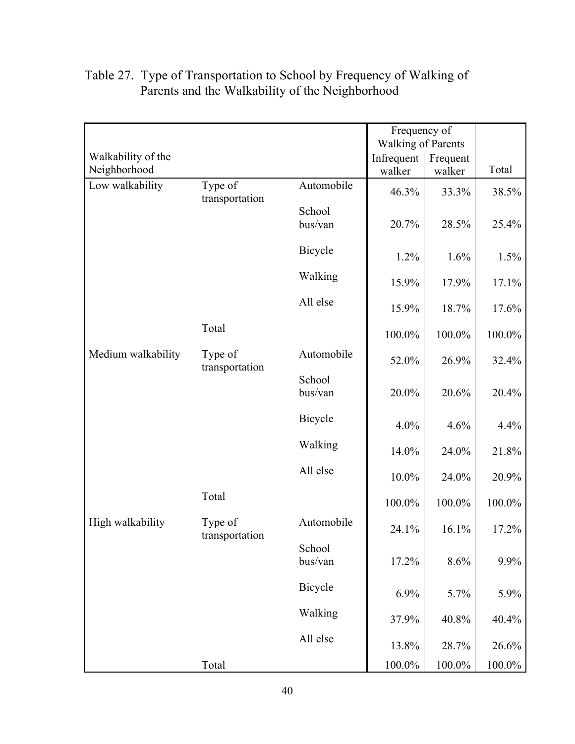|                    |                           |                   | Frequency of              |           |           |
|--------------------|---------------------------|-------------------|---------------------------|-----------|-----------|
|                    |                           |                   | <b>Walking of Parents</b> |           |           |
| Walkability of the |                           |                   | Infrequent                | Frequent  |           |
| Neighborhood       |                           |                   | walker                    | walker    | Total     |
| Low walkability    | Type of<br>transportation | Automobile        | 46.3%                     | 33.3%     | 38.5%     |
|                    |                           | School<br>bus/van | 20.7%                     | 28.5%     | 25.4%     |
|                    |                           | Bicycle           | 1.2%                      | 1.6%      | 1.5%      |
|                    |                           | Walking           | 15.9%                     | 17.9%     | 17.1%     |
|                    |                           | All else          | 15.9%                     | 18.7%     | 17.6%     |
|                    | Total                     |                   | 100.0%                    | 100.0%    | 100.0%    |
| Medium walkability | Type of<br>transportation | Automobile        | 52.0%                     | 26.9%     | 32.4%     |
|                    |                           | School<br>bus/van | 20.0%                     | 20.6%     | 20.4%     |
|                    |                           | Bicycle           | 4.0%                      | 4.6%      | 4.4%      |
|                    |                           | Walking           | 14.0%                     | 24.0%     | 21.8%     |
|                    |                           | All else          | 10.0%                     | 24.0%     | 20.9%     |
|                    | Total                     |                   | 100.0%                    | 100.0%    | $100.0\%$ |
| High walkability   | Type of<br>transportation | Automobile        | 24.1%                     | 16.1%     | 17.2%     |
|                    |                           | School<br>bus/van | 17.2%                     | 8.6%      | 9.9%      |
|                    |                           | Bicycle           | 6.9%                      | 5.7%      | 5.9%      |
|                    |                           | Walking           | 37.9%                     | 40.8%     | 40.4%     |
|                    |                           | All else          | 13.8%                     | 28.7%     | 26.6%     |
|                    | Total                     |                   | $100.0\%$                 | $100.0\%$ | $100.0\%$ |

#### Table 27. Type of Transportation to School by Frequency of Walking of Parents and the Walkability of the Neighborhood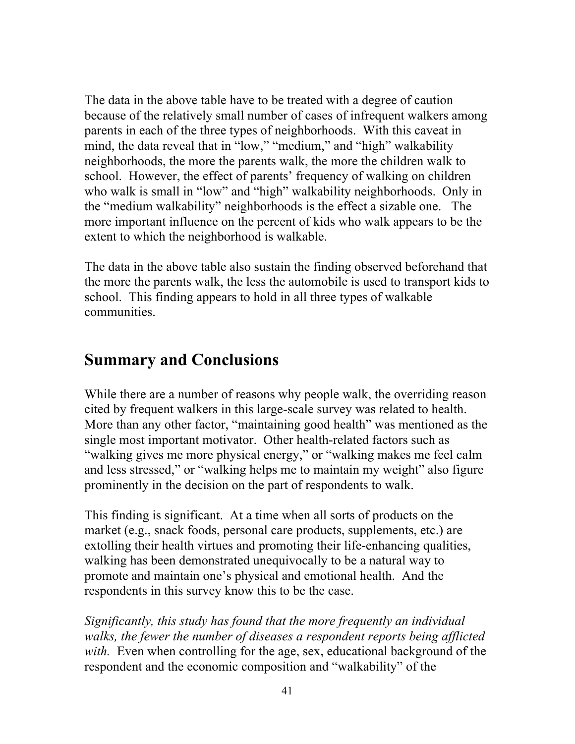The data in the above table have to be treated with a degree of caution because of the relatively small number of cases of infrequent walkers among parents in each of the three types of neighborhoods. With this caveat in mind, the data reveal that in "low," "medium," and "high" walkability neighborhoods, the more the parents walk, the more the children walk to school. However, the effect of parents' frequency of walking on children who walk is small in "low" and "high" walkability neighborhoods. Only in the "medium walkability" neighborhoods is the effect a sizable one. The more important influence on the percent of kids who walk appears to be the extent to which the neighborhood is walkable.

The data in the above table also sustain the finding observed beforehand that the more the parents walk, the less the automobile is used to transport kids to school. This finding appears to hold in all three types of walkable communities.

# **Summary and Conclusions**

While there are a number of reasons why people walk, the overriding reason cited by frequent walkers in this large-scale survey was related to health. More than any other factor, "maintaining good health" was mentioned as the single most important motivator. Other health-related factors such as "walking gives me more physical energy," or "walking makes me feel calm and less stressed," or "walking helps me to maintain my weight" also figure prominently in the decision on the part of respondents to walk.

This finding is significant. At a time when all sorts of products on the market (e.g., snack foods, personal care products, supplements, etc.) are extolling their health virtues and promoting their life-enhancing qualities, walking has been demonstrated unequivocally to be a natural way to promote and maintain one's physical and emotional health. And the respondents in this survey know this to be the case.

*Significantly, this study has found that the more frequently an individual walks, the fewer the number of diseases a respondent reports being afflicted with.* Even when controlling for the age, sex, educational background of the respondent and the economic composition and "walkability" of the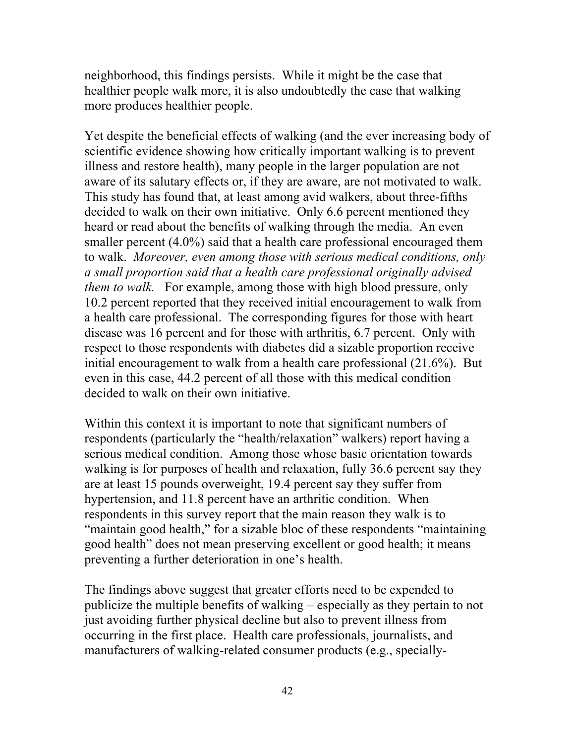neighborhood, this findings persists. While it might be the case that healthier people walk more, it is also undoubtedly the case that walking more produces healthier people.

Yet despite the beneficial effects of walking (and the ever increasing body of scientific evidence showing how critically important walking is to prevent illness and restore health), many people in the larger population are not aware of its salutary effects or, if they are aware, are not motivated to walk. This study has found that, at least among avid walkers, about three-fifths decided to walk on their own initiative. Only 6.6 percent mentioned they heard or read about the benefits of walking through the media. An even smaller percent (4.0%) said that a health care professional encouraged them to walk. *Moreover, even among those with serious medical conditions, only a small proportion said that a health care professional originally advised them to walk.* For example, among those with high blood pressure, only 10.2 percent reported that they received initial encouragement to walk from a health care professional. The corresponding figures for those with heart disease was 16 percent and for those with arthritis, 6.7 percent. Only with respect to those respondents with diabetes did a sizable proportion receive initial encouragement to walk from a health care professional (21.6%). But even in this case, 44.2 percent of all those with this medical condition decided to walk on their own initiative.

Within this context it is important to note that significant numbers of respondents (particularly the "health/relaxation" walkers) report having a serious medical condition. Among those whose basic orientation towards walking is for purposes of health and relaxation, fully 36.6 percent say they are at least 15 pounds overweight, 19.4 percent say they suffer from hypertension, and 11.8 percent have an arthritic condition. When respondents in this survey report that the main reason they walk is to "maintain good health," for a sizable bloc of these respondents "maintaining good health" does not mean preserving excellent or good health; it means preventing a further deterioration in one's health.

The findings above suggest that greater efforts need to be expended to publicize the multiple benefits of walking – especially as they pertain to not just avoiding further physical decline but also to prevent illness from occurring in the first place. Health care professionals, journalists, and manufacturers of walking-related consumer products (e.g., specially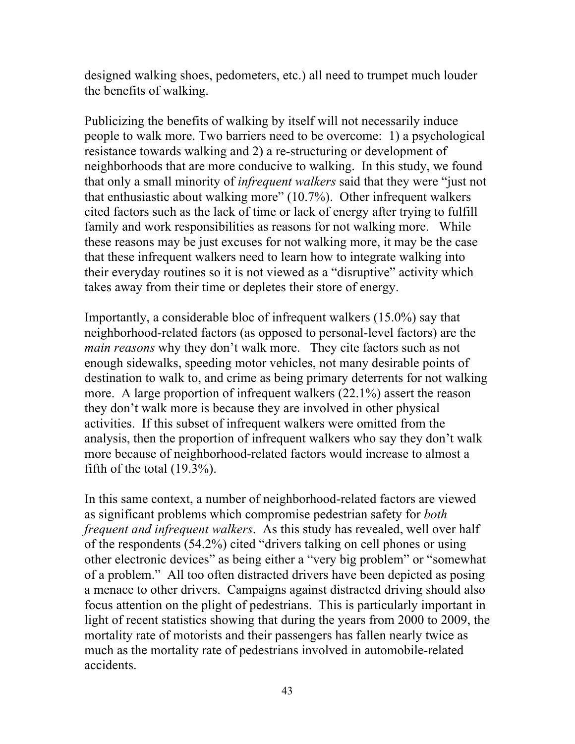designed walking shoes, pedometers, etc.) all need to trumpet much louder the benefits of walking.

Publicizing the benefits of walking by itself will not necessarily induce people to walk more. Two barriers need to be overcome: 1) a psychological resistance towards walking and 2) a re-structuring or development of neighborhoods that are more conducive to walking. In this study, we found that only a small minority of *infrequent walkers* said that they were "just not that enthusiastic about walking more" (10.7%). Other infrequent walkers cited factors such as the lack of time or lack of energy after trying to fulfill family and work responsibilities as reasons for not walking more. While these reasons may be just excuses for not walking more, it may be the case that these infrequent walkers need to learn how to integrate walking into their everyday routines so it is not viewed as a "disruptive" activity which takes away from their time or depletes their store of energy.

Importantly, a considerable bloc of infrequent walkers (15.0%) say that neighborhood-related factors (as opposed to personal-level factors) are the *main reasons* why they don't walk more. They cite factors such as not enough sidewalks, speeding motor vehicles, not many desirable points of destination to walk to, and crime as being primary deterrents for not walking more. A large proportion of infrequent walkers (22.1%) assert the reason they don't walk more is because they are involved in other physical activities. If this subset of infrequent walkers were omitted from the analysis, then the proportion of infrequent walkers who say they don't walk more because of neighborhood-related factors would increase to almost a fifth of the total (19.3%).

In this same context, a number of neighborhood-related factors are viewed as significant problems which compromise pedestrian safety for *both frequent and infrequent walkers*. As this study has revealed, well over half of the respondents (54.2%) cited "drivers talking on cell phones or using other electronic devices" as being either a "very big problem" or "somewhat of a problem." All too often distracted drivers have been depicted as posing a menace to other drivers. Campaigns against distracted driving should also focus attention on the plight of pedestrians. This is particularly important in light of recent statistics showing that during the years from 2000 to 2009, the mortality rate of motorists and their passengers has fallen nearly twice as much as the mortality rate of pedestrians involved in automobile-related accidents.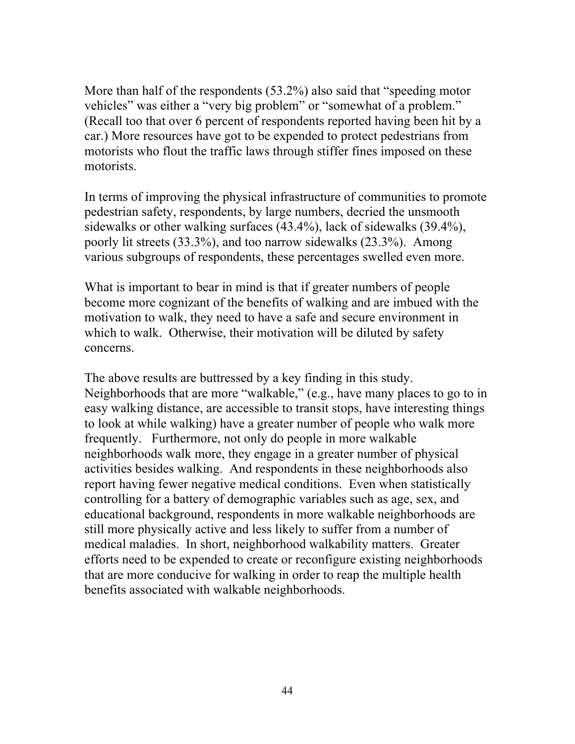More than half of the respondents (53.2%) also said that "speeding motor vehicles" was either a "very big problem" or "somewhat of a problem." (Recall too that over 6 percent of respondents reported having been hit by a car.) More resources have got to be expended to protect pedestrians from motorists who flout the traffic laws through stiffer fines imposed on these motorists.

In terms of improving the physical infrastructure of communities to promote pedestrian safety, respondents, by large numbers, decried the unsmooth sidewalks or other walking surfaces (43.4%), lack of sidewalks (39.4%), poorly lit streets (33.3%), and too narrow sidewalks (23.3%). Among various subgroups of respondents, these percentages swelled even more.

What is important to bear in mind is that if greater numbers of people become more cognizant of the benefits of walking and are imbued with the motivation to walk, they need to have a safe and secure environment in which to walk. Otherwise, their motivation will be diluted by safety concerns.

The above results are buttressed by a key finding in this study. Neighborhoods that are more "walkable," (e.g., have many places to go to in easy walking distance, are accessible to transit stops, have interesting things to look at while walking) have a greater number of people who walk more frequently. Furthermore, not only do people in more walkable neighborhoods walk more, they engage in a greater number of physical activities besides walking. And respondents in these neighborhoods also report having fewer negative medical conditions. Even when statistically controlling for a battery of demographic variables such as age, sex, and educational background, respondents in more walkable neighborhoods are still more physically active and less likely to suffer from a number of medical maladies. In short, neighborhood walkability matters. Greater efforts need to be expended to create or reconfigure existing neighborhoods that are more conducive for walking in order to reap the multiple health benefits associated with walkable neighborhoods.